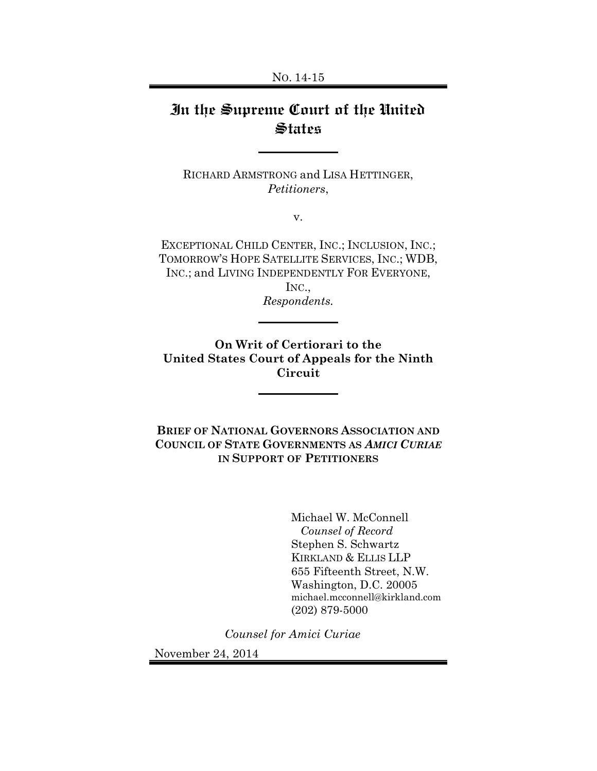# In the Supreme Court of the United **States**

RICHARD ARMSTRONG and LISA HETTINGER, *Petitioners*,

v.

EXCEPTIONAL CHILD CENTER, INC.; INCLUSION, INC.; TOMORROW'S HOPE SATELLITE SERVICES, INC.; WDB, INC.; and LIVING INDEPENDENTLY FOR EVERYONE,

INC., *Respondents.*

**On Writ of Certiorari to the United States Court of Appeals for the Ninth Circuit** 

**BRIEF OF NATIONAL GOVERNORS ASSOCIATION AND COUNCIL OF STATE GOVERNMENTS AS** *AMICI CURIAE* **IN SUPPORT OF PETITIONERS**

> Michael W. McConnell  *Counsel of Record*  Stephen S. Schwartz KIRKLAND & ELLIS LLP 655 Fifteenth Street, N.W. Washington, D.C. 20005 michael.mcconnell@kirkland.com (202) 879-5000

*Counsel for Amici Curiae*

November 24, 2014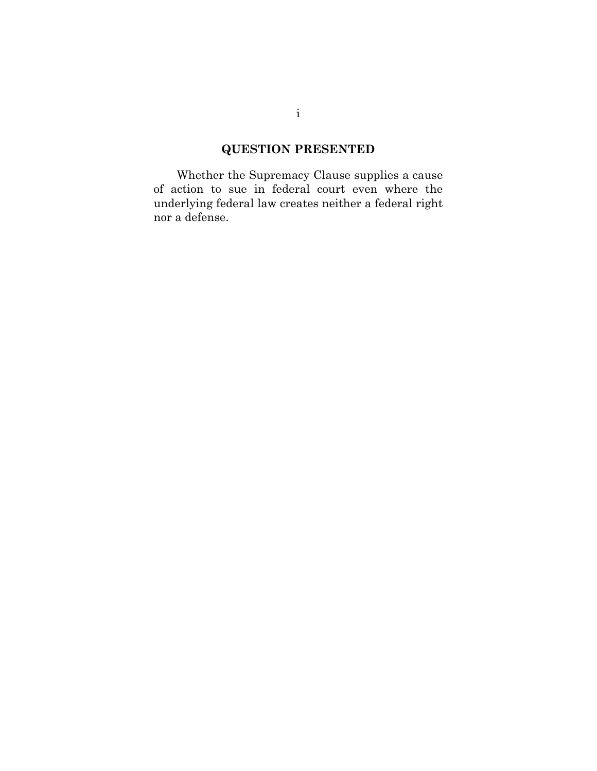## **QUESTION PRESENTED**

Whether the Supremacy Clause supplies a cause of action to sue in federal court even where the underlying federal law creates neither a federal right nor a defense.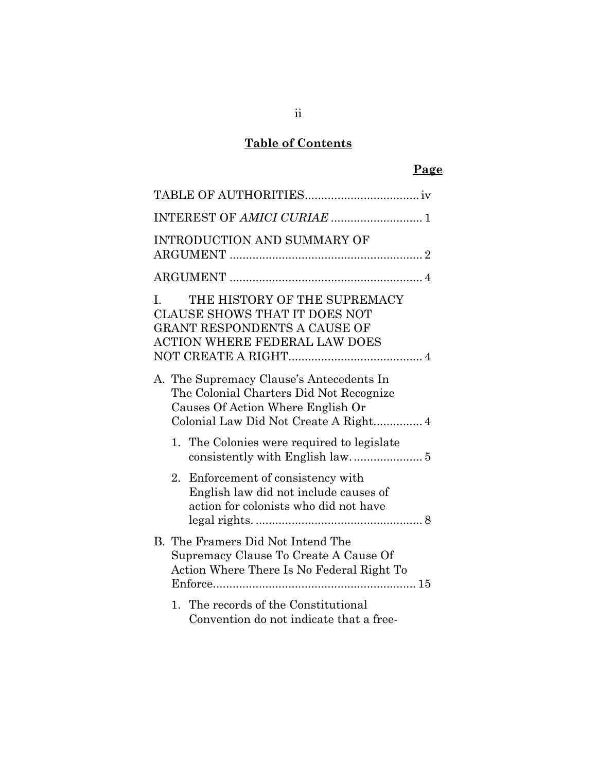## **Table of Contents**

## **Page**

|    |                                                                                                                         | <b>INTRODUCTION AND SUMMARY OF</b>                                                                                                                  |  |
|----|-------------------------------------------------------------------------------------------------------------------------|-----------------------------------------------------------------------------------------------------------------------------------------------------|--|
|    |                                                                                                                         |                                                                                                                                                     |  |
| L. |                                                                                                                         | THE HISTORY OF THE SUPREMACY<br><b>CLAUSE SHOWS THAT IT DOES NOT</b><br><b>GRANT RESPONDENTS A CAUSE OF</b><br><b>ACTION WHERE FEDERAL LAW DOES</b> |  |
|    |                                                                                                                         | A. The Supremacy Clause's Antecedents In<br>The Colonial Charters Did Not Recognize<br>Causes Of Action Where English Or                            |  |
|    |                                                                                                                         | 1. The Colonies were required to legislate                                                                                                          |  |
|    |                                                                                                                         | 2. Enforcement of consistency with<br>English law did not include causes of<br>action for colonists who did not have                                |  |
|    | B. The Framers Did Not Intend The<br>Supremacy Clause To Create A Cause Of<br>Action Where There Is No Federal Right To |                                                                                                                                                     |  |
|    |                                                                                                                         | 1. The records of the Constitutional<br>Convention do not indicate that a free-                                                                     |  |

## ii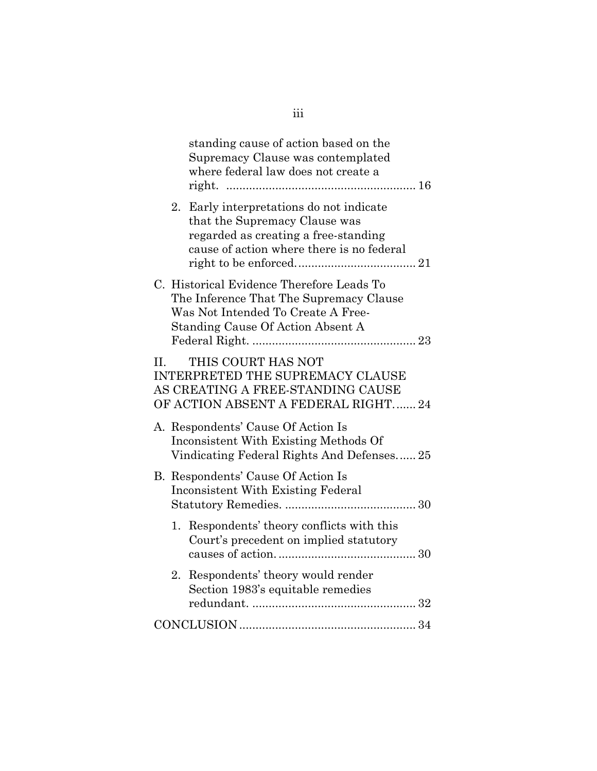| standing cause of action based on the<br>Supremacy Clause was contemplated<br>where federal law does not create a                                               |
|-----------------------------------------------------------------------------------------------------------------------------------------------------------------|
| 2. Early interpretations do not indicate<br>that the Supremacy Clause was<br>regarded as creating a free-standing<br>cause of action where there is no federal  |
| C. Historical Evidence Therefore Leads To<br>The Inference That The Supremacy Clause<br>Was Not Intended To Create A Free-<br>Standing Cause Of Action Absent A |
| THIS COURT HAS NOT<br>$\Pi$ .<br><b>INTERPRETED THE SUPREMACY CLAUSE</b><br>AS CREATING A FREE-STANDING CAUSE<br>OF ACTION ABSENT A FEDERAL RIGHT 24            |
| A. Respondents' Cause Of Action Is<br>Inconsistent With Existing Methods Of<br>Vindicating Federal Rights And Defenses 25                                       |
| B. Respondents' Cause Of Action Is<br><b>Inconsistent With Existing Federal</b>                                                                                 |
| 1. Respondents' theory conflicts with this<br>Court's precedent on implied statutory                                                                            |
| Respondents' theory would render<br>2.<br>Section 1983's equitable remedies                                                                                     |
|                                                                                                                                                                 |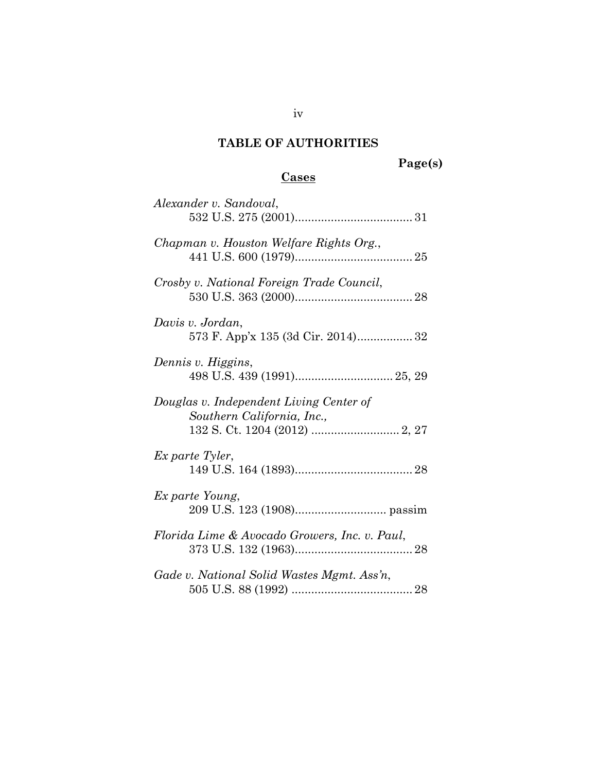## **TABLE OF AUTHORITIES**

## **Cases**

| Alexander v. Sandoval,                                                |
|-----------------------------------------------------------------------|
| Chapman v. Houston Welfare Rights Org.,                               |
| Crosby v. National Foreign Trade Council,                             |
| Davis v. Jordan,                                                      |
| Dennis v. Higgins,                                                    |
| Douglas v. Independent Living Center of<br>Southern California, Inc., |
| Ex parte Tyler,                                                       |
| Ex parte Young,                                                       |
| Florida Lime & Avocado Growers, Inc. v. Paul,                         |
| Gade v. National Solid Wastes Mgmt. Ass'n,                            |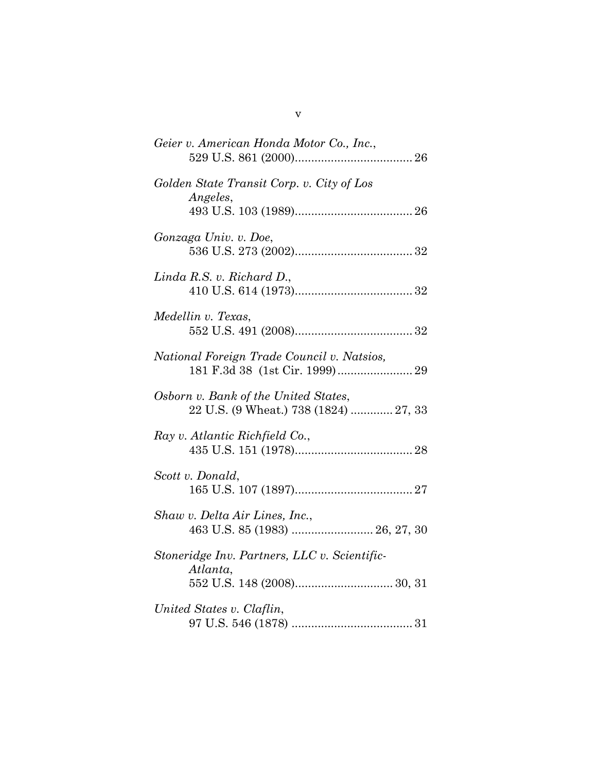| Geier v. American Honda Motor Co., Inc.,                                      |
|-------------------------------------------------------------------------------|
| Golden State Transit Corp. v. City of Los<br><i>Angeles,</i>                  |
| Gonzaga Univ. v. Doe,                                                         |
| $Linda$ R.S. v. Richard D.,                                                   |
| Medellin v. Texas,                                                            |
| National Foreign Trade Council v. Natsios,                                    |
| Osborn v. Bank of the United States,<br>22 U.S. (9 Wheat.) 738 (1824)  27, 33 |
| Ray v. Atlantic Richfield Co.,                                                |
| Scott v. Donald,                                                              |
| Shaw v. Delta Air Lines, Inc.,<br>463 U.S. 85 (1983)  26, 27, 30              |
| Stoneridge Inv. Partners, LLC v. Scientific-<br>Atlanta,                      |
| United States v. Claflin,                                                     |

v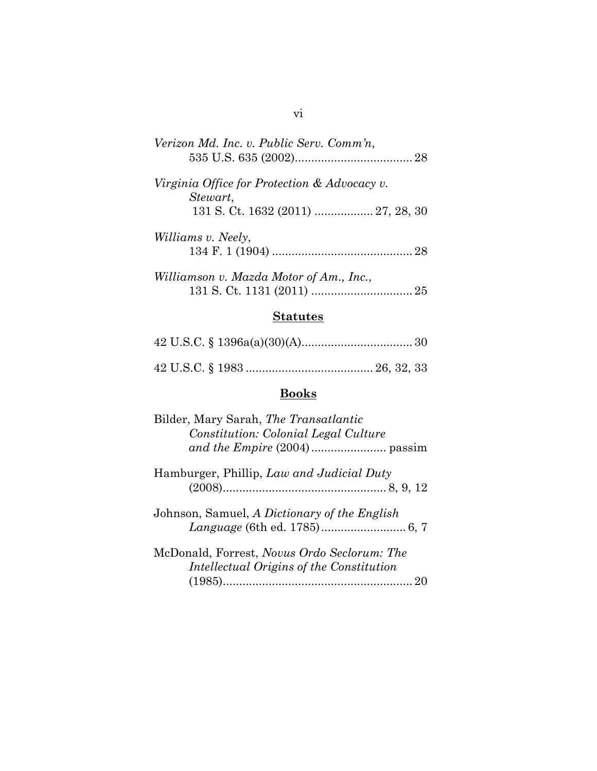| Verizon Md. Inc. v. Public Serv. Comm'n,                    |
|-------------------------------------------------------------|
| Virginia Office for Protection $\&$ Advocacy v.<br>Stewart, |
|                                                             |
| Williams v. Neely,                                          |
|                                                             |
| Williamson v. Mazda Motor of Am., Inc.,                     |

## **Statutes**

## **Books**

| Bilder, Mary Sarah, The Transatlantic                                                          |
|------------------------------------------------------------------------------------------------|
| Constitution: Colonial Legal Culture                                                           |
|                                                                                                |
| Hamburger, Phillip, Law and Judicial Duty                                                      |
| Johnson, Samuel, A Dictionary of the English                                                   |
| McDonald, Forrest, <i>Novus Ordo Seclorum: The</i><br>Intellectual Origins of the Constitution |

## vi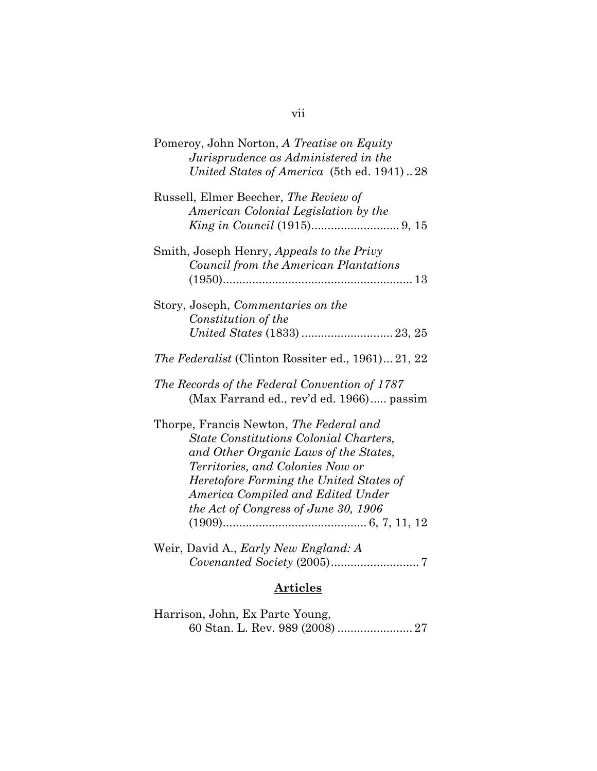| Pomeroy, John Norton, A Treatise on Equity<br>Jurisprudence as Administered in the<br>United States of America (5th ed. 1941)28                                                                                                                                                               |
|-----------------------------------------------------------------------------------------------------------------------------------------------------------------------------------------------------------------------------------------------------------------------------------------------|
| Russell, Elmer Beecher, The Review of<br>American Colonial Legislation by the                                                                                                                                                                                                                 |
| Smith, Joseph Henry, Appeals to the Privy<br>Council from the American Plantations                                                                                                                                                                                                            |
| Story, Joseph, Commentaries on the<br>Constitution of the<br>United States (1833)  23, 25                                                                                                                                                                                                     |
| The Federalist (Clinton Rossiter ed., 1961) 21, 22                                                                                                                                                                                                                                            |
| The Records of the Federal Convention of 1787<br>(Max Farrand ed., rev'd ed. 1966) passim                                                                                                                                                                                                     |
| Thorpe, Francis Newton, The Federal and<br><b>State Constitutions Colonial Charters,</b><br>and Other Organic Laws of the States,<br>Territories, and Colonies Now or<br>Heretofore Forming the United States of<br>America Compiled and Edited Under<br>the Act of Congress of June 30, 1906 |
| Weir, David A., Early New England: A                                                                                                                                                                                                                                                          |

# **Articles**

Harrison, John, Ex Parte Young, 60 Stan. L. Rev. 989 (2008) ....................... 27

## vii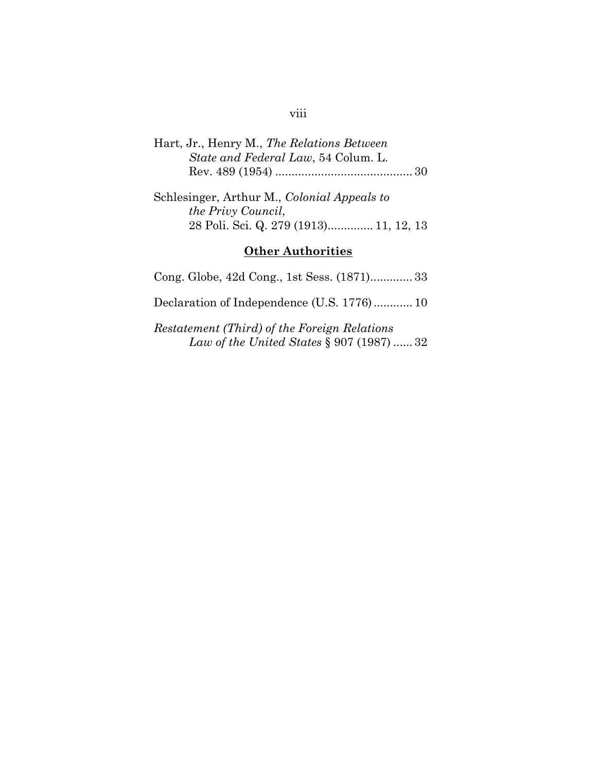| Hart, Jr., Henry M., The Relations Between |  |
|--------------------------------------------|--|
| State and Federal Law, 54 Colum. L.        |  |
|                                            |  |

Schlesinger, Arthur M., *Colonial Appeals to the Privy Council*, 28 Poli. Sci. Q. 279 (1913) .............. 11, 12, 13

### **Other Authorities**

Cong. Globe, 42d Cong., 1st Sess. (1871) ............. 33 Declaration of Independence (U.S. 1776) ............ 10 *Restatement (Third) of the Foreign Relations Law of the United States* § 907 (1987) ...... 32

#### viii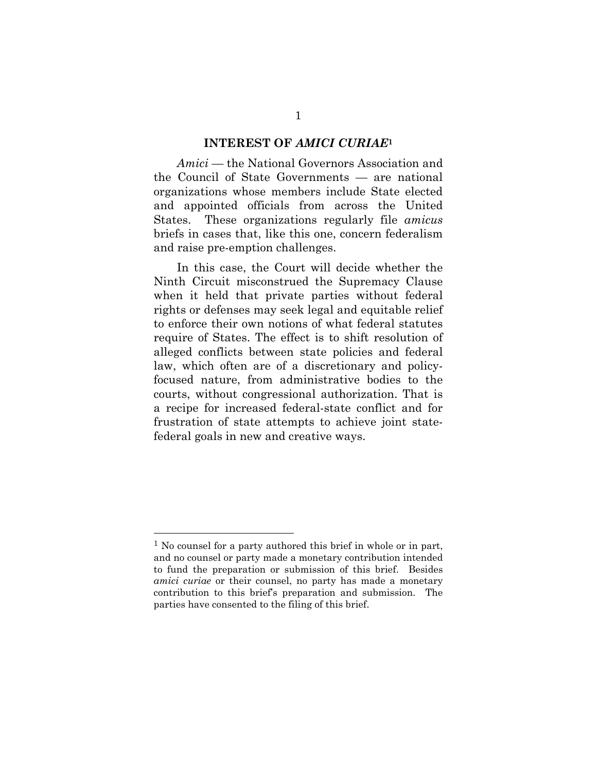#### **INTEREST OF** *AMICI CURIAE***<sup>1</sup>**

*Amici* — the National Governors Association and the Council of State Governments — are national organizations whose members include State elected and appointed officials from across the United States. These organizations regularly file *amicus* briefs in cases that, like this one, concern federalism and raise pre-emption challenges.

In this case, the Court will decide whether the Ninth Circuit misconstrued the Supremacy Clause when it held that private parties without federal rights or defenses may seek legal and equitable relief to enforce their own notions of what federal statutes require of States. The effect is to shift resolution of alleged conflicts between state policies and federal law, which often are of a discretionary and policyfocused nature, from administrative bodies to the courts, without congressional authorization. That is a recipe for increased federal-state conflict and for frustration of state attempts to achieve joint statefederal goals in new and creative ways.

<sup>1</sup> No counsel for a party authored this brief in whole or in part, and no counsel or party made a monetary contribution intended to fund the preparation or submission of this brief. Besides *amici curiae* or their counsel, no party has made a monetary contribution to this brief's preparation and submission. The parties have consented to the filing of this brief.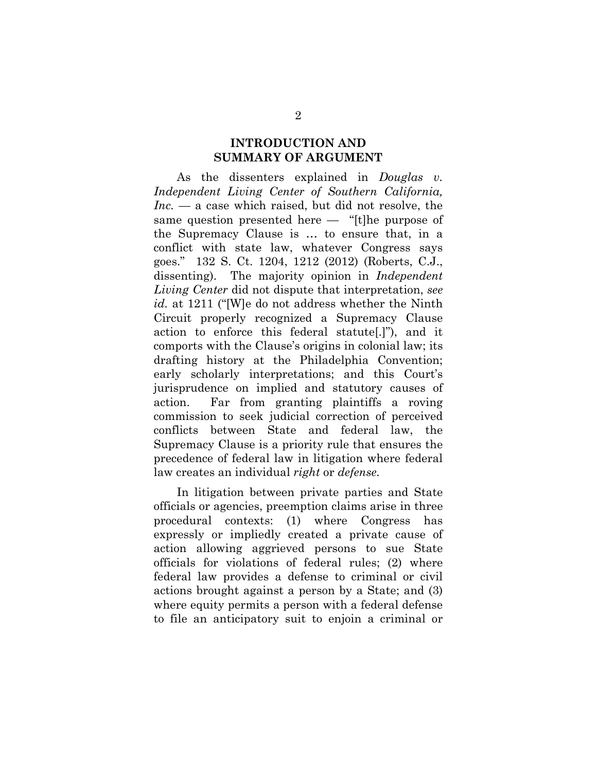#### **INTRODUCTION AND SUMMARY OF ARGUMENT**

As the dissenters explained in *Douglas v. Independent Living Center of Southern California, Inc.* — a case which raised, but did not resolve, the same question presented here — "[t]he purpose of the Supremacy Clause is … to ensure that, in a conflict with state law, whatever Congress says goes." 132 S. Ct. 1204, 1212 (2012) (Roberts, C.J., dissenting). The majority opinion in *Independent Living Center* did not dispute that interpretation, *see id.* at 1211 ("[W]e do not address whether the Ninth Circuit properly recognized a Supremacy Clause action to enforce this federal statute[.]"), and it comports with the Clause's origins in colonial law; its drafting history at the Philadelphia Convention; early scholarly interpretations; and this Court's jurisprudence on implied and statutory causes of action. Far from granting plaintiffs a roving commission to seek judicial correction of perceived conflicts between State and federal law, the Supremacy Clause is a priority rule that ensures the precedence of federal law in litigation where federal law creates an individual *right* or *defense.*

In litigation between private parties and State officials or agencies, preemption claims arise in three procedural contexts: (1) where Congress has expressly or impliedly created a private cause of action allowing aggrieved persons to sue State officials for violations of federal rules; (2) where federal law provides a defense to criminal or civil actions brought against a person by a State; and (3) where equity permits a person with a federal defense to file an anticipatory suit to enjoin a criminal or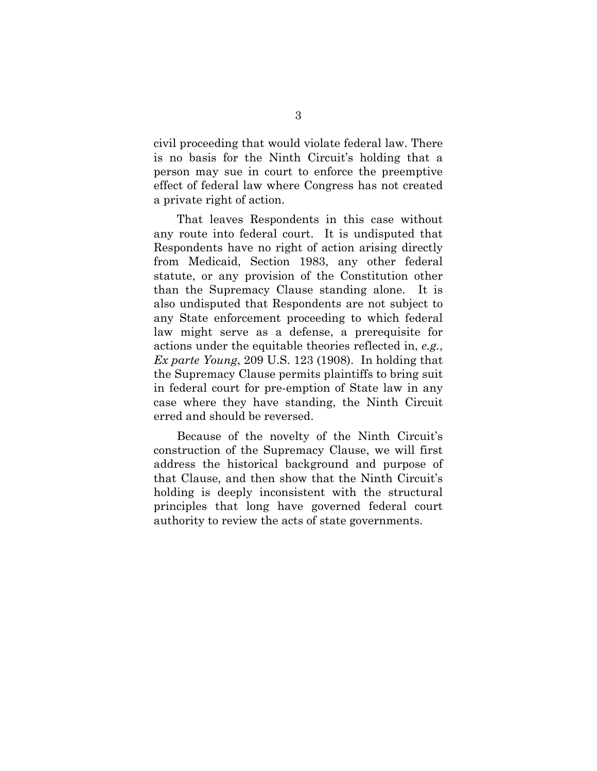civil proceeding that would violate federal law. There is no basis for the Ninth Circuit's holding that a person may sue in court to enforce the preemptive effect of federal law where Congress has not created a private right of action.

That leaves Respondents in this case without any route into federal court. It is undisputed that Respondents have no right of action arising directly from Medicaid, Section 1983, any other federal statute, or any provision of the Constitution other than the Supremacy Clause standing alone. It is also undisputed that Respondents are not subject to any State enforcement proceeding to which federal law might serve as a defense, a prerequisite for actions under the equitable theories reflected in, *e.g.*, *Ex parte Young*, 209 U.S. 123 (1908). In holding that the Supremacy Clause permits plaintiffs to bring suit in federal court for pre-emption of State law in any case where they have standing, the Ninth Circuit erred and should be reversed.

Because of the novelty of the Ninth Circuit's construction of the Supremacy Clause, we will first address the historical background and purpose of that Clause, and then show that the Ninth Circuit's holding is deeply inconsistent with the structural principles that long have governed federal court authority to review the acts of state governments.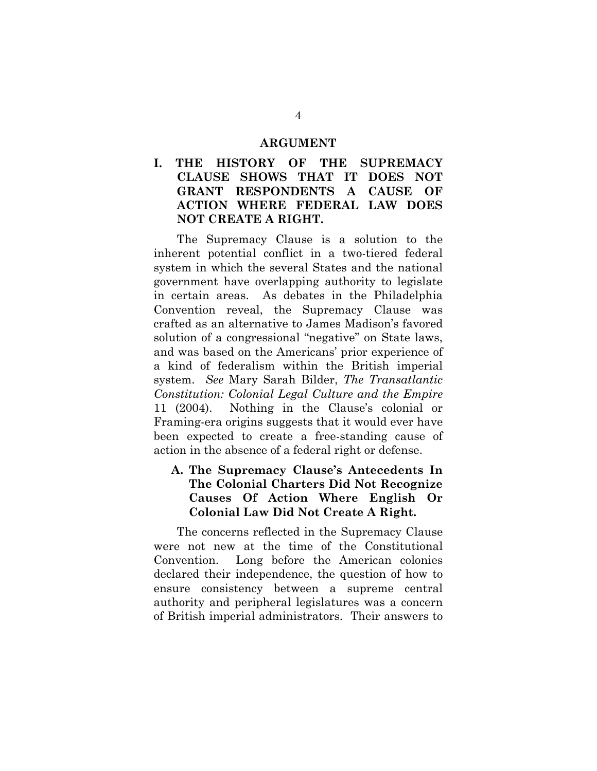#### **ARGUMENT**

## **I. THE HISTORY OF THE SUPREMACY CLAUSE SHOWS THAT IT DOES NOT GRANT RESPONDENTS A CAUSE OF ACTION WHERE FEDERAL LAW DOES NOT CREATE A RIGHT.**

The Supremacy Clause is a solution to the inherent potential conflict in a two-tiered federal system in which the several States and the national government have overlapping authority to legislate in certain areas. As debates in the Philadelphia Convention reveal, the Supremacy Clause was crafted as an alternative to James Madison's favored solution of a congressional "negative" on State laws, and was based on the Americans' prior experience of a kind of federalism within the British imperial system. *See* Mary Sarah Bilder, *The Transatlantic Constitution: Colonial Legal Culture and the Empire* 11 (2004). Nothing in the Clause's colonial or Framing-era origins suggests that it would ever have been expected to create a free-standing cause of action in the absence of a federal right or defense.

## **A. The Supremacy Clause's Antecedents In The Colonial Charters Did Not Recognize Causes Of Action Where English Or Colonial Law Did Not Create A Right.**

The concerns reflected in the Supremacy Clause were not new at the time of the Constitutional Convention. Long before the American colonies declared their independence, the question of how to ensure consistency between a supreme central authority and peripheral legislatures was a concern of British imperial administrators. Their answers to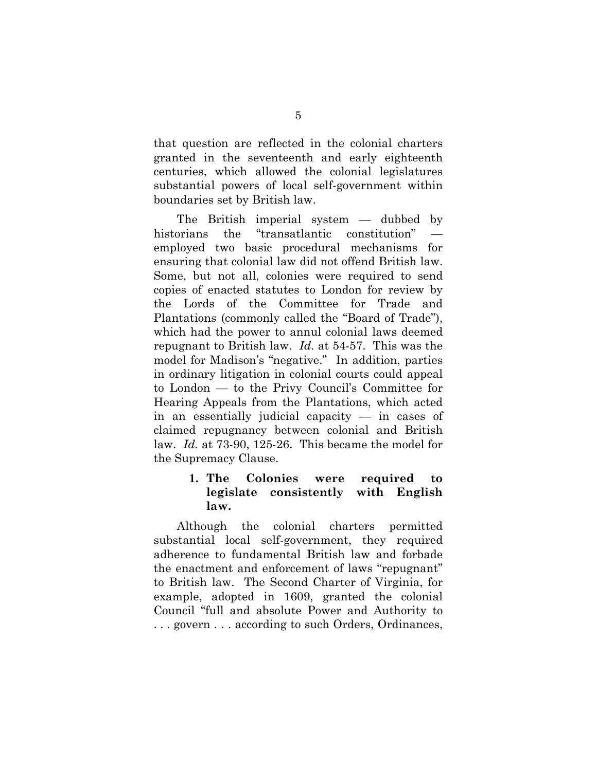that question are reflected in the colonial charters granted in the seventeenth and early eighteenth centuries, which allowed the colonial legislatures substantial powers of local self-government within boundaries set by British law.

The British imperial system — dubbed by historians the "transatlantic constitution" employed two basic procedural mechanisms for ensuring that colonial law did not offend British law. Some, but not all, colonies were required to send copies of enacted statutes to London for review by the Lords of the Committee for Trade and Plantations (commonly called the "Board of Trade"), which had the power to annul colonial laws deemed repugnant to British law. *Id.* at 54-57. This was the model for Madison's "negative." In addition, parties in ordinary litigation in colonial courts could appeal to London — to the Privy Council's Committee for Hearing Appeals from the Plantations, which acted in an essentially judicial capacity — in cases of claimed repugnancy between colonial and British law. *Id.* at 73-90, 125-26. This became the model for the Supremacy Clause.

## **1. The Colonies were required to legislate consistently with English law.**

Although the colonial charters permitted substantial local self-government, they required adherence to fundamental British law and forbade the enactment and enforcement of laws "repugnant" to British law. The Second Charter of Virginia, for example, adopted in 1609, granted the colonial Council "full and absolute Power and Authority to . . . govern . . . according to such Orders, Ordinances,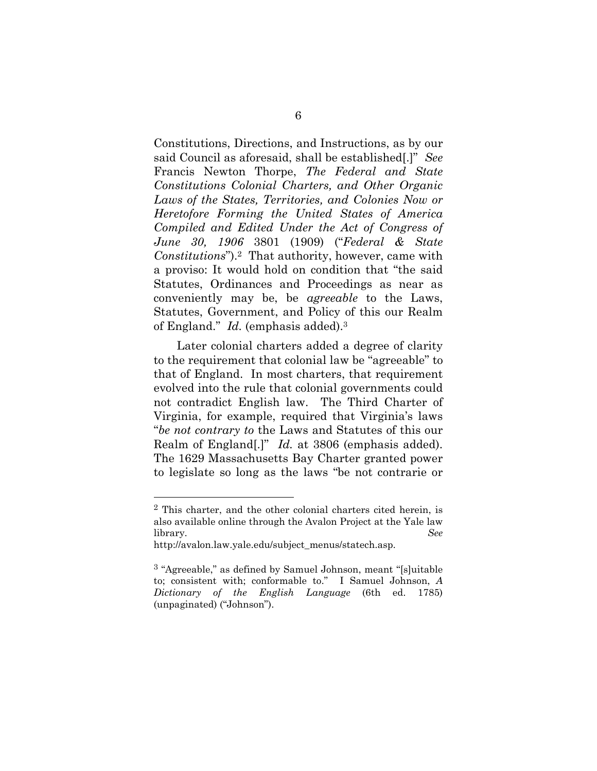Constitutions, Directions, and Instructions, as by our said Council as aforesaid, shall be established[.]" *See*  Francis Newton Thorpe, *The Federal and State Constitutions Colonial Charters, and Other Organic Laws of the States, Territories, and Colonies Now or Heretofore Forming the United States of America Compiled and Edited Under the Act of Congress of June 30, 1906* 3801 (1909) ("*Federal & State Constitutions*").2 That authority, however, came with a proviso: It would hold on condition that "the said Statutes, Ordinances and Proceedings as near as conveniently may be, be *agreeable* to the Laws, Statutes, Government, and Policy of this our Realm of England." *Id.* (emphasis added).3

Later colonial charters added a degree of clarity to the requirement that colonial law be "agreeable" to that of England. In most charters, that requirement evolved into the rule that colonial governments could not contradict English law. The Third Charter of Virginia, for example, required that Virginia's laws "*be not contrary to* the Laws and Statutes of this our Realm of England[.]" *Id.* at 3806 (emphasis added). The 1629 Massachusetts Bay Charter granted power to legislate so long as the laws "be not contrarie or

<sup>2</sup> This charter, and the other colonial charters cited herein, is also available online through the Avalon Project at the Yale law library. *See*

http://avalon.law.yale.edu/subject\_menus/statech.asp.

<sup>3 &</sup>quot;Agreeable," as defined by Samuel Johnson, meant "[s]uitable to; consistent with; conformable to." I Samuel Johnson, *A Dictionary of the English Language* (6th ed. 1785) (unpaginated) ("Johnson").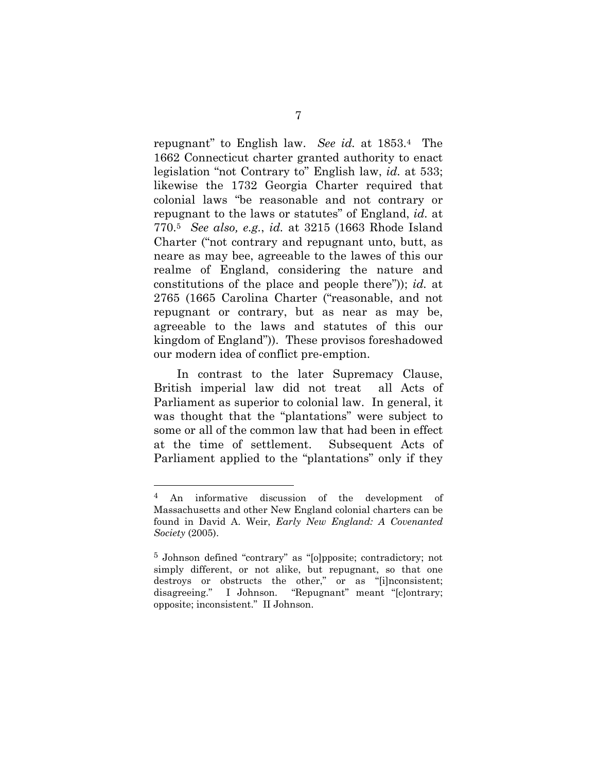repugnant" to English law. *See id.* at 1853.4 The 1662 Connecticut charter granted authority to enact legislation "not Contrary to" English law, *id.* at 533; likewise the 1732 Georgia Charter required that colonial laws "be reasonable and not contrary or repugnant to the laws or statutes" of England, *id.* at 770.5 *See also, e.g.*, *id.* at 3215 (1663 Rhode Island Charter ("not contrary and repugnant unto, butt, as neare as may bee, agreeable to the lawes of this our realme of England, considering the nature and constitutions of the place and people there")); *id.* at 2765 (1665 Carolina Charter ("reasonable, and not repugnant or contrary, but as near as may be, agreeable to the laws and statutes of this our kingdom of England")). These provisos foreshadowed our modern idea of conflict pre-emption.

In contrast to the later Supremacy Clause, British imperial law did not treat all Acts of Parliament as superior to colonial law. In general, it was thought that the "plantations" were subject to some or all of the common law that had been in effect at the time of settlement. Subsequent Acts of Parliament applied to the "plantations" only if they

<sup>4</sup> An informative discussion of the development of Massachusetts and other New England colonial charters can be found in David A. Weir, *Early New England: A Covenanted Society* (2005).

<sup>5</sup> Johnson defined "contrary" as "[o]pposite; contradictory; not simply different, or not alike, but repugnant, so that one destroys or obstructs the other," or as "[i]nconsistent; disagreeing." I Johnson. "Repugnant" meant "[c]ontrary; opposite; inconsistent." II Johnson.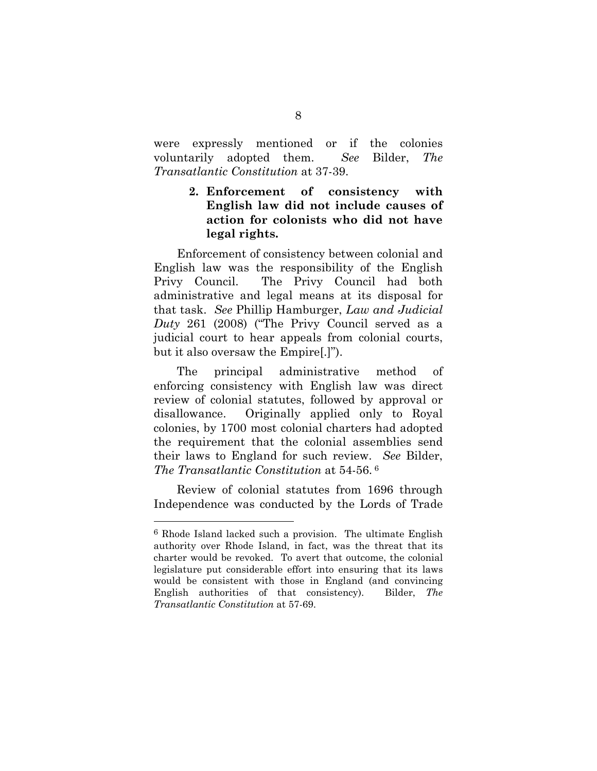were expressly mentioned or if the colonies voluntarily adopted them. *See* Bilder, *The Transatlantic Constitution* at 37-39.

> **2. Enforcement of consistency with English law did not include causes of action for colonists who did not have legal rights.**

Enforcement of consistency between colonial and English law was the responsibility of the English Privy Council. The Privy Council had both administrative and legal means at its disposal for that task. *See* Phillip Hamburger, *Law and Judicial Duty* 261 (2008) ("The Privy Council served as a judicial court to hear appeals from colonial courts, but it also oversaw the Empire[.]").

The principal administrative method of enforcing consistency with English law was direct review of colonial statutes, followed by approval or disallowance. Originally applied only to Royal colonies, by 1700 most colonial charters had adopted the requirement that the colonial assemblies send their laws to England for such review. *See* Bilder, *The Transatlantic Constitution* at 54-56. 6

Review of colonial statutes from 1696 through Independence was conducted by the Lords of Trade

<sup>6</sup> Rhode Island lacked such a provision. The ultimate English authority over Rhode Island, in fact, was the threat that its charter would be revoked. To avert that outcome, the colonial legislature put considerable effort into ensuring that its laws would be consistent with those in England (and convincing English authorities of that consistency). Bilder, *The Transatlantic Constitution* at 57-69.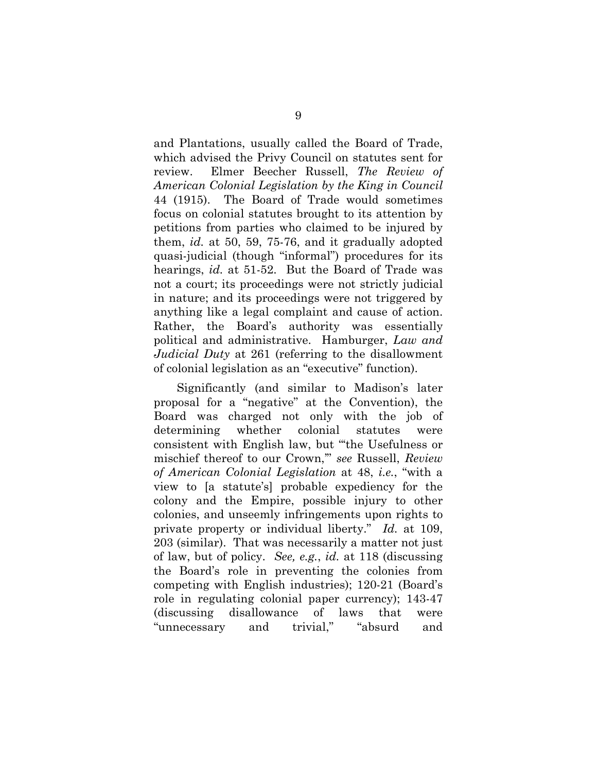and Plantations, usually called the Board of Trade, which advised the Privy Council on statutes sent for review. Elmer Beecher Russell, *The Review of American Colonial Legislation by the King in Council* 44 (1915). The Board of Trade would sometimes focus on colonial statutes brought to its attention by petitions from parties who claimed to be injured by them, *id.* at 50, 59, 75-76, and it gradually adopted quasi-judicial (though "informal") procedures for its hearings, *id.* at 51-52. But the Board of Trade was not a court; its proceedings were not strictly judicial in nature; and its proceedings were not triggered by anything like a legal complaint and cause of action. Rather, the Board's authority was essentially political and administrative. Hamburger, *Law and Judicial Duty* at 261 (referring to the disallowment of colonial legislation as an "executive" function).

Significantly (and similar to Madison's later proposal for a "negative" at the Convention), the Board was charged not only with the job of determining whether colonial statutes were consistent with English law, but "'the Usefulness or mischief thereof to our Crown,'" *see* Russell, *Review of American Colonial Legislation* at 48, *i.e.*, "with a view to [a statute's] probable expediency for the colony and the Empire, possible injury to other colonies, and unseemly infringements upon rights to private property or individual liberty." *Id.* at 109, 203 (similar). That was necessarily a matter not just of law, but of policy. *See, e.g.*, *id.* at 118 (discussing the Board's role in preventing the colonies from competing with English industries); 120-21 (Board's role in regulating colonial paper currency); 143-47 (discussing disallowance of laws that were "unnecessary and trivial," "absurd and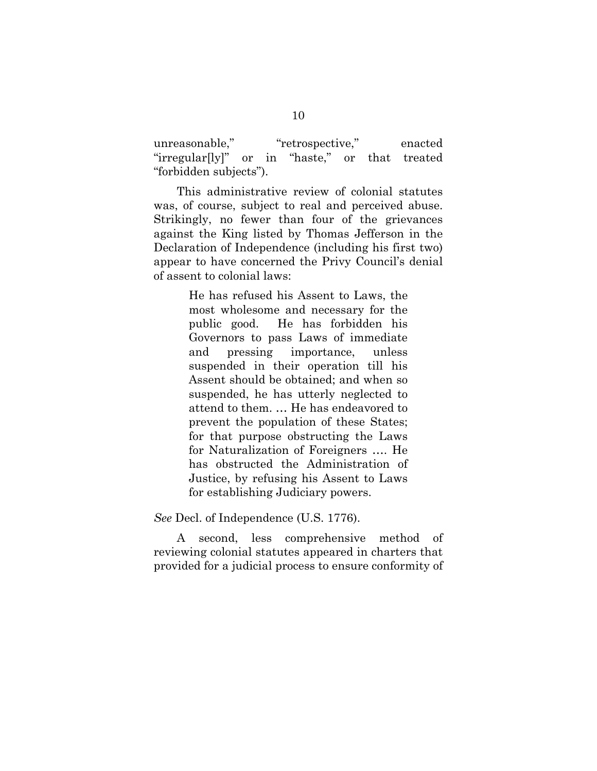unreasonable," "retrospective," enacted "irregular[ly]" or in "haste," or that treated "forbidden subjects").

This administrative review of colonial statutes was, of course, subject to real and perceived abuse. Strikingly, no fewer than four of the grievances against the King listed by Thomas Jefferson in the Declaration of Independence (including his first two) appear to have concerned the Privy Council's denial of assent to colonial laws:

> He has refused his Assent to Laws, the most wholesome and necessary for the public good. He has forbidden his Governors to pass Laws of immediate and pressing importance, unless suspended in their operation till his Assent should be obtained; and when so suspended, he has utterly neglected to attend to them. … He has endeavored to prevent the population of these States; for that purpose obstructing the Laws for Naturalization of Foreigners …. He has obstructed the Administration of Justice, by refusing his Assent to Laws for establishing Judiciary powers.

*See* Decl. of Independence (U.S. 1776).

A second, less comprehensive method of reviewing colonial statutes appeared in charters that provided for a judicial process to ensure conformity of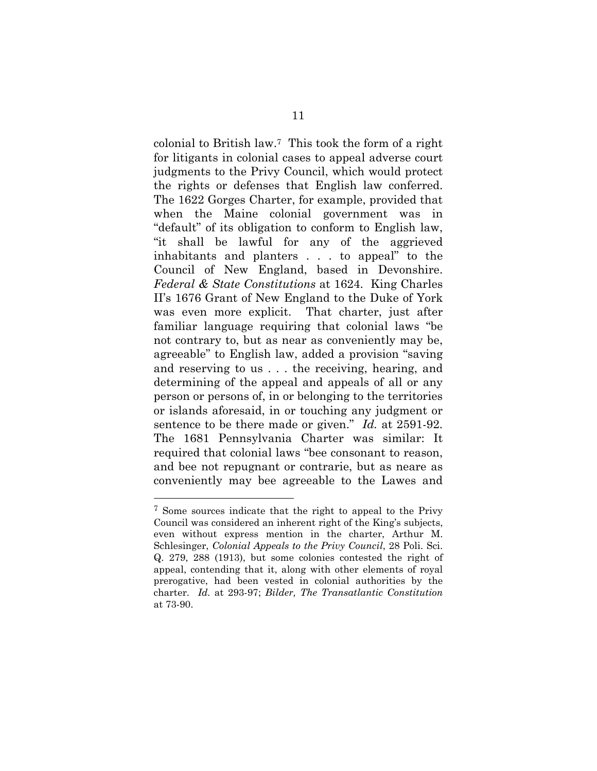colonial to British law.7 This took the form of a right for litigants in colonial cases to appeal adverse court judgments to the Privy Council, which would protect the rights or defenses that English law conferred. The 1622 Gorges Charter, for example, provided that when the Maine colonial government was in "default" of its obligation to conform to English law, "it shall be lawful for any of the aggrieved inhabitants and planters . . . to appeal" to the Council of New England, based in Devonshire. *Federal & State Constitutions* at 1624. King Charles II's 1676 Grant of New England to the Duke of York was even more explicit. That charter, just after familiar language requiring that colonial laws "be not contrary to, but as near as conveniently may be, agreeable" to English law, added a provision "saving and reserving to us . . . the receiving, hearing, and determining of the appeal and appeals of all or any person or persons of, in or belonging to the territories or islands aforesaid, in or touching any judgment or sentence to be there made or given." *Id.* at 2591-92. The 1681 Pennsylvania Charter was similar: It required that colonial laws "bee consonant to reason, and bee not repugnant or contrarie, but as neare as conveniently may bee agreeable to the Lawes and

<sup>7</sup> Some sources indicate that the right to appeal to the Privy Council was considered an inherent right of the King's subjects, even without express mention in the charter, Arthur M. Schlesinger, *Colonial Appeals to the Privy Council*, 28 Poli. Sci. Q. 279, 288 (1913), but some colonies contested the right of appeal, contending that it, along with other elements of royal prerogative, had been vested in colonial authorities by the charter. *Id.* at 293-97; *Bilder, The Transatlantic Constitution* at 73-90.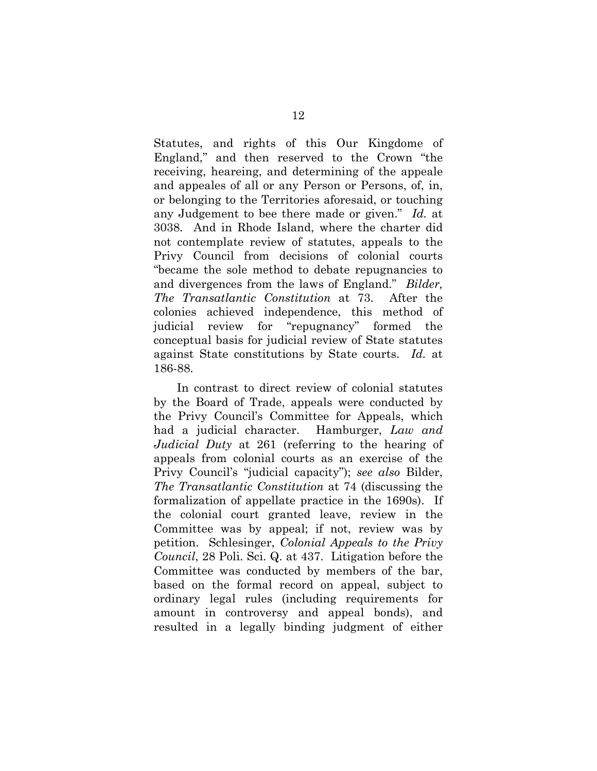Statutes, and rights of this Our Kingdome of England," and then reserved to the Crown "the receiving, heareing, and determining of the appeale and appeales of all or any Person or Persons, of, in, or belonging to the Territories aforesaid, or touching any Judgement to bee there made or given." *Id.* at 3038. And in Rhode Island, where the charter did not contemplate review of statutes, appeals to the Privy Council from decisions of colonial courts "became the sole method to debate repugnancies to and divergences from the laws of England." *Bilder, The Transatlantic Constitution* at 73. After the colonies achieved independence, this method of judicial review for "repugnancy" formed the conceptual basis for judicial review of State statutes against State constitutions by State courts. *Id.* at 186-88.

In contrast to direct review of colonial statutes by the Board of Trade, appeals were conducted by the Privy Council's Committee for Appeals, which had a judicial character. Hamburger, *Law and Judicial Duty* at 261 (referring to the hearing of appeals from colonial courts as an exercise of the Privy Council's "judicial capacity"); *see also* Bilder, *The Transatlantic Constitution* at 74 (discussing the formalization of appellate practice in the 1690s). If the colonial court granted leave, review in the Committee was by appeal; if not, review was by petition. Schlesinger, *Colonial Appeals to the Privy Council*, 28 Poli. Sci. Q. at 437. Litigation before the Committee was conducted by members of the bar, based on the formal record on appeal, subject to ordinary legal rules (including requirements for amount in controversy and appeal bonds), and resulted in a legally binding judgment of either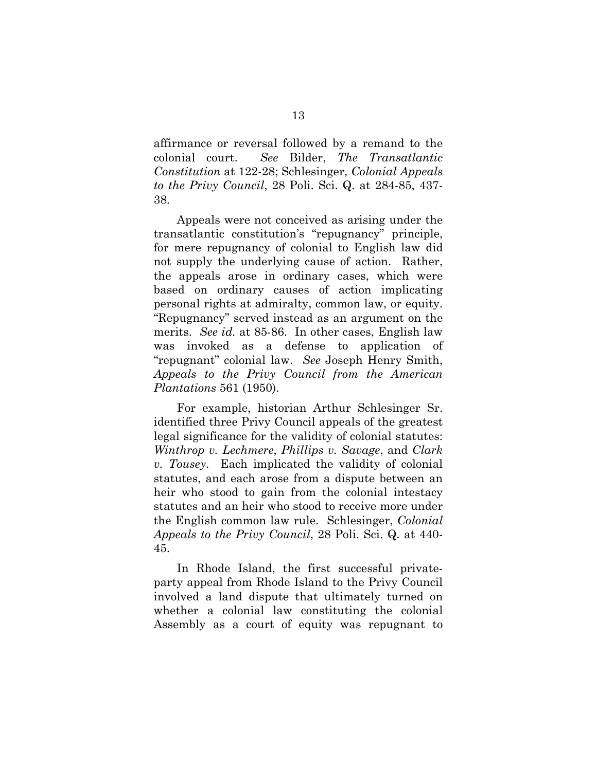affirmance or reversal followed by a remand to the colonial court. *See* Bilder, *The Transatlantic Constitution* at 122-28; Schlesinger, *Colonial Appeals to the Privy Council*, 28 Poli. Sci. Q. at 284-85, 437- 38.

Appeals were not conceived as arising under the transatlantic constitution's "repugnancy" principle, for mere repugnancy of colonial to English law did not supply the underlying cause of action. Rather, the appeals arose in ordinary cases, which were based on ordinary causes of action implicating personal rights at admiralty, common law, or equity. "Repugnancy" served instead as an argument on the merits. *See id.* at 85-86. In other cases, English law was invoked as a defense to application of "repugnant" colonial law. *See* Joseph Henry Smith, *Appeals to the Privy Council from the American Plantations* 561 (1950).

For example, historian Arthur Schlesinger Sr. identified three Privy Council appeals of the greatest legal significance for the validity of colonial statutes: *Winthrop v. Lechmere*, *Phillips v. Savage*, and *Clark v. Tousey*. Each implicated the validity of colonial statutes, and each arose from a dispute between an heir who stood to gain from the colonial intestacy statutes and an heir who stood to receive more under the English common law rule. Schlesinger, *Colonial Appeals to the Privy Council*, 28 Poli. Sci. Q. at 440- 45.

In Rhode Island, the first successful privateparty appeal from Rhode Island to the Privy Council involved a land dispute that ultimately turned on whether a colonial law constituting the colonial Assembly as a court of equity was repugnant to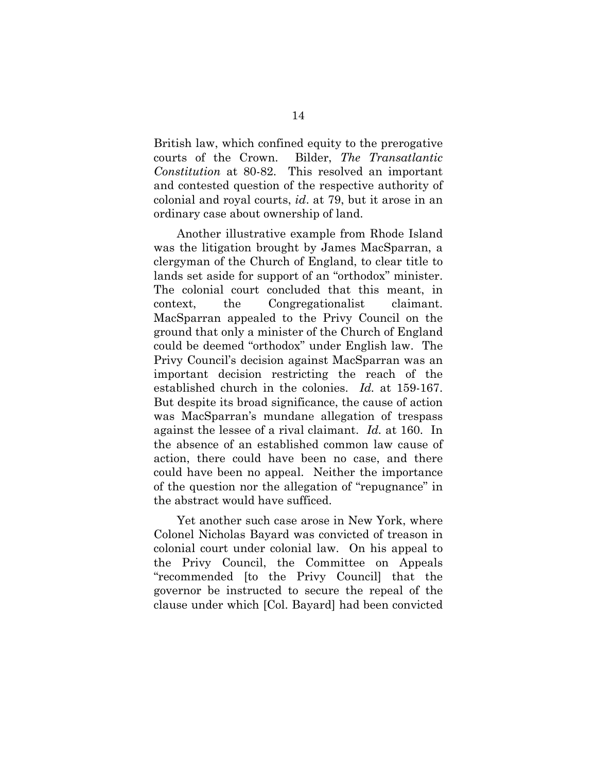British law, which confined equity to the prerogative courts of the Crown. Bilder, *The Transatlantic Constitution* at 80-82. This resolved an important and contested question of the respective authority of colonial and royal courts, *id*. at 79, but it arose in an ordinary case about ownership of land.

Another illustrative example from Rhode Island was the litigation brought by James MacSparran, a clergyman of the Church of England, to clear title to lands set aside for support of an "orthodox" minister. The colonial court concluded that this meant, in context, the Congregationalist claimant. MacSparran appealed to the Privy Council on the ground that only a minister of the Church of England could be deemed "orthodox" under English law. The Privy Council's decision against MacSparran was an important decision restricting the reach of the established church in the colonies. *Id.* at 159-167. But despite its broad significance, the cause of action was MacSparran's mundane allegation of trespass against the lessee of a rival claimant. *Id.* at 160. In the absence of an established common law cause of action, there could have been no case, and there could have been no appeal. Neither the importance of the question nor the allegation of "repugnance" in the abstract would have sufficed.

Yet another such case arose in New York, where Colonel Nicholas Bayard was convicted of treason in colonial court under colonial law. On his appeal to the Privy Council, the Committee on Appeals "recommended [to the Privy Council] that the governor be instructed to secure the repeal of the clause under which [Col. Bayard] had been convicted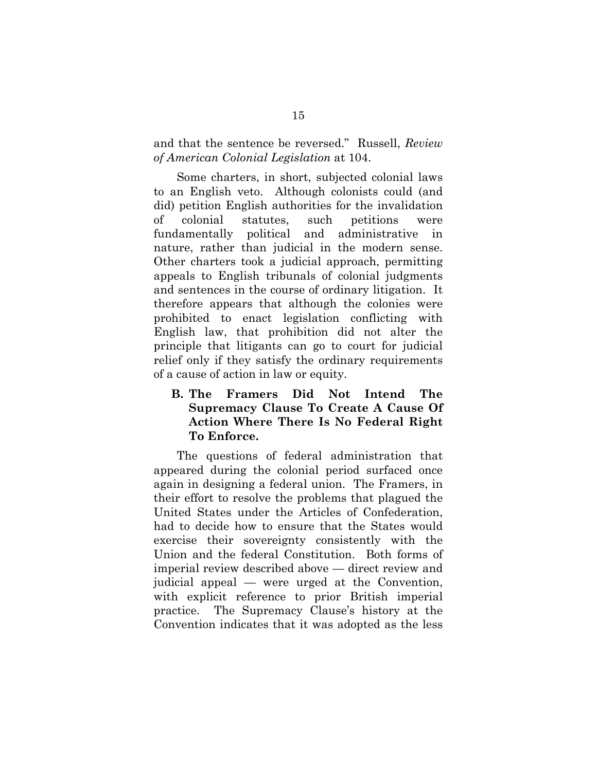and that the sentence be reversed." Russell, *Review of American Colonial Legislation* at 104.

Some charters, in short, subjected colonial laws to an English veto. Although colonists could (and did) petition English authorities for the invalidation of colonial statutes, such petitions were fundamentally political and administrative in nature, rather than judicial in the modern sense. Other charters took a judicial approach, permitting appeals to English tribunals of colonial judgments and sentences in the course of ordinary litigation. It therefore appears that although the colonies were prohibited to enact legislation conflicting with English law, that prohibition did not alter the principle that litigants can go to court for judicial relief only if they satisfy the ordinary requirements of a cause of action in law or equity.

## **B. The Framers Did Not Intend The Supremacy Clause To Create A Cause Of Action Where There Is No Federal Right To Enforce.**

The questions of federal administration that appeared during the colonial period surfaced once again in designing a federal union. The Framers, in their effort to resolve the problems that plagued the United States under the Articles of Confederation, had to decide how to ensure that the States would exercise their sovereignty consistently with the Union and the federal Constitution. Both forms of imperial review described above — direct review and judicial appeal — were urged at the Convention, with explicit reference to prior British imperial practice. The Supremacy Clause's history at the Convention indicates that it was adopted as the less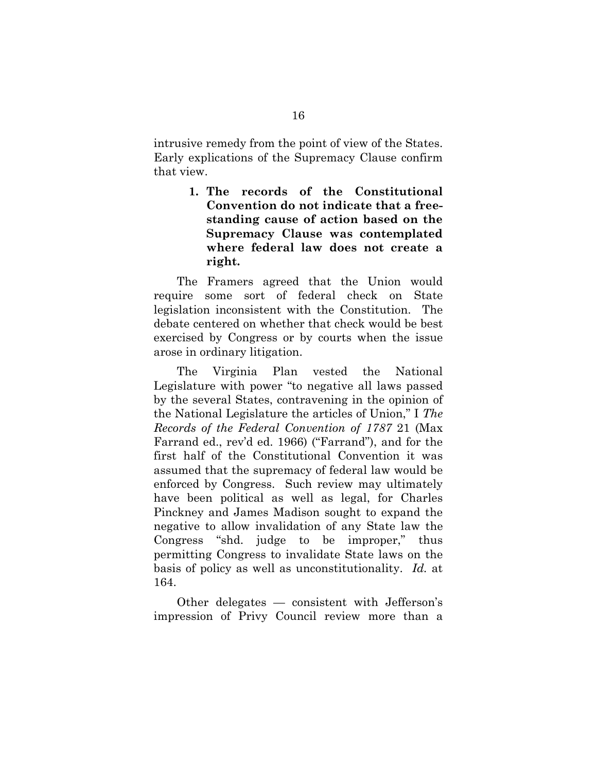intrusive remedy from the point of view of the States. Early explications of the Supremacy Clause confirm that view.

> **1. The records of the Constitutional Convention do not indicate that a freestanding cause of action based on the Supremacy Clause was contemplated where federal law does not create a right.**

The Framers agreed that the Union would require some sort of federal check on State legislation inconsistent with the Constitution. The debate centered on whether that check would be best exercised by Congress or by courts when the issue arose in ordinary litigation.

The Virginia Plan vested the National Legislature with power "to negative all laws passed by the several States, contravening in the opinion of the National Legislature the articles of Union," I *The Records of the Federal Convention of 1787* 21 (Max Farrand ed., rev'd ed. 1966) ("Farrand"), and for the first half of the Constitutional Convention it was assumed that the supremacy of federal law would be enforced by Congress. Such review may ultimately have been political as well as legal, for Charles Pinckney and James Madison sought to expand the negative to allow invalidation of any State law the Congress "shd. judge to be improper," thus permitting Congress to invalidate State laws on the basis of policy as well as unconstitutionality. *Id.* at 164.

Other delegates — consistent with Jefferson's impression of Privy Council review more than a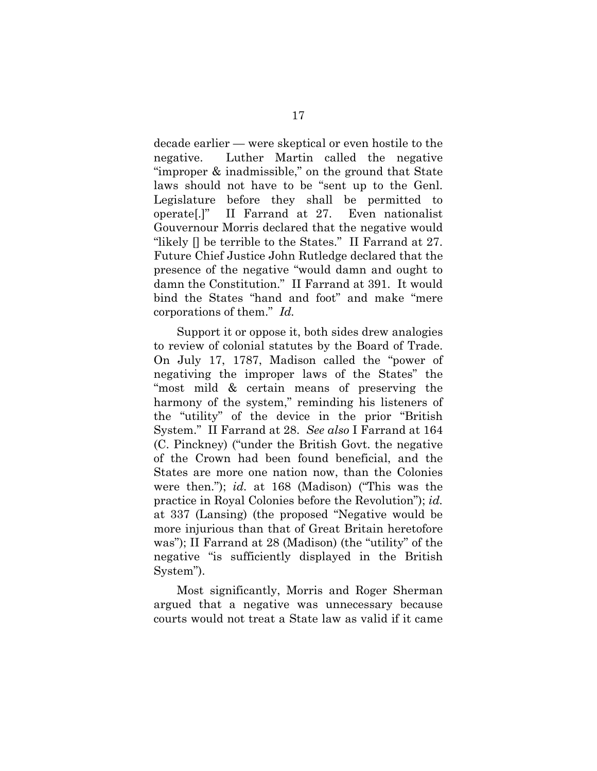decade earlier — were skeptical or even hostile to the negative. Luther Martin called the negative "improper & inadmissible," on the ground that State laws should not have to be "sent up to the Genl. Legislature before they shall be permitted to operate[.]" II Farrand at 27. Even nationalist Gouvernour Morris declared that the negative would "likely [] be terrible to the States." II Farrand at 27. Future Chief Justice John Rutledge declared that the presence of the negative "would damn and ought to damn the Constitution." II Farrand at 391. It would bind the States "hand and foot" and make "mere corporations of them." *Id.*

Support it or oppose it, both sides drew analogies to review of colonial statutes by the Board of Trade. On July 17, 1787, Madison called the "power of negativing the improper laws of the States" the "most mild & certain means of preserving the harmony of the system," reminding his listeners of the "utility" of the device in the prior "British System." II Farrand at 28. *See also* I Farrand at 164 (C. Pinckney) ("under the British Govt. the negative of the Crown had been found beneficial, and the States are more one nation now, than the Colonies were then."); *id.* at 168 (Madison) ("This was the practice in Royal Colonies before the Revolution"); *id.* at 337 (Lansing) (the proposed "Negative would be more injurious than that of Great Britain heretofore was"); II Farrand at 28 (Madison) (the "utility" of the negative "is sufficiently displayed in the British System").

Most significantly, Morris and Roger Sherman argued that a negative was unnecessary because courts would not treat a State law as valid if it came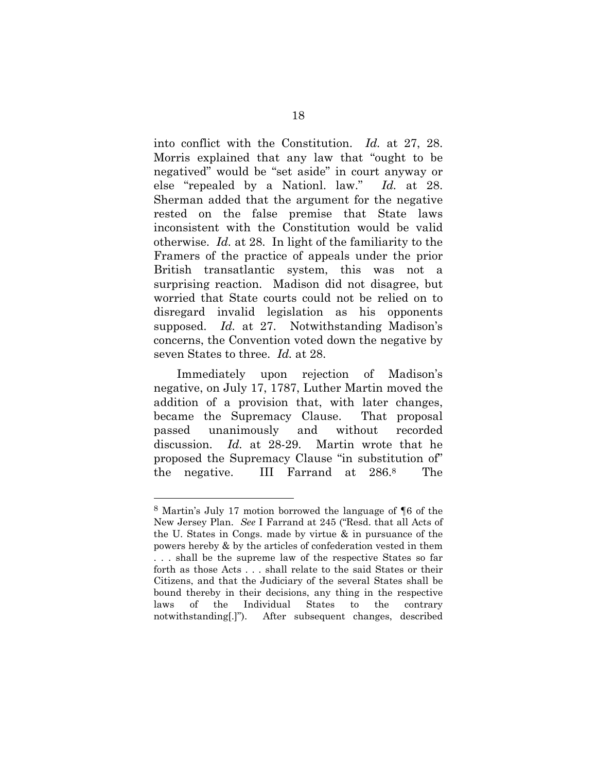into conflict with the Constitution. *Id.* at 27, 28. Morris explained that any law that "ought to be negatived" would be "set aside" in court anyway or else "repealed by a Nationl. law." *Id.* at 28. Sherman added that the argument for the negative rested on the false premise that State laws inconsistent with the Constitution would be valid otherwise. *Id.* at 28. In light of the familiarity to the Framers of the practice of appeals under the prior British transatlantic system, this was not a surprising reaction. Madison did not disagree, but worried that State courts could not be relied on to disregard invalid legislation as his opponents supposed. *Id.* at 27. Notwithstanding Madison's concerns, the Convention voted down the negative by seven States to three. *Id.* at 28.

Immediately upon rejection of Madison's negative, on July 17, 1787, Luther Martin moved the addition of a provision that, with later changes, became the Supremacy Clause. That proposal passed unanimously and without recorded discussion. *Id.* at 28-29. Martin wrote that he proposed the Supremacy Clause "in substitution of" the negative. III Farrand at 286.8 The

<sup>8</sup> Martin's July 17 motion borrowed the language of ¶6 of the New Jersey Plan. *See* I Farrand at 245 ("Resd. that all Acts of the U. States in Congs. made by virtue & in pursuance of the powers hereby & by the articles of confederation vested in them . . . shall be the supreme law of the respective States so far forth as those Acts . . . shall relate to the said States or their Citizens, and that the Judiciary of the several States shall be bound thereby in their decisions, any thing in the respective laws of the Individual States to the contrary notwithstanding[.]"). After subsequent changes, described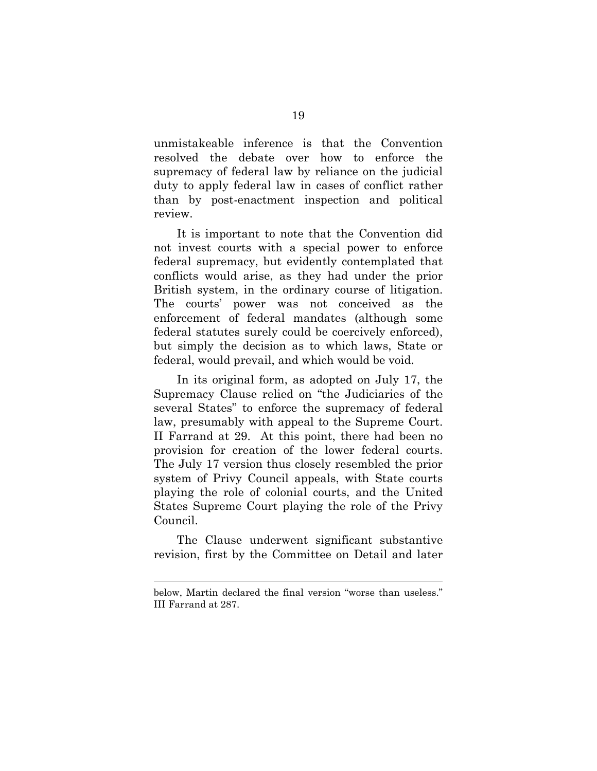unmistakeable inference is that the Convention resolved the debate over how to enforce the supremacy of federal law by reliance on the judicial duty to apply federal law in cases of conflict rather than by post-enactment inspection and political review.

It is important to note that the Convention did not invest courts with a special power to enforce federal supremacy, but evidently contemplated that conflicts would arise, as they had under the prior British system, in the ordinary course of litigation. The courts' power was not conceived as the enforcement of federal mandates (although some federal statutes surely could be coercively enforced), but simply the decision as to which laws, State or federal, would prevail, and which would be void.

In its original form, as adopted on July 17, the Supremacy Clause relied on "the Judiciaries of the several States" to enforce the supremacy of federal law, presumably with appeal to the Supreme Court. II Farrand at 29. At this point, there had been no provision for creation of the lower federal courts. The July 17 version thus closely resembled the prior system of Privy Council appeals, with State courts playing the role of colonial courts, and the United States Supreme Court playing the role of the Privy Council.

The Clause underwent significant substantive revision, first by the Committee on Detail and later

below, Martin declared the final version "worse than useless." III Farrand at 287.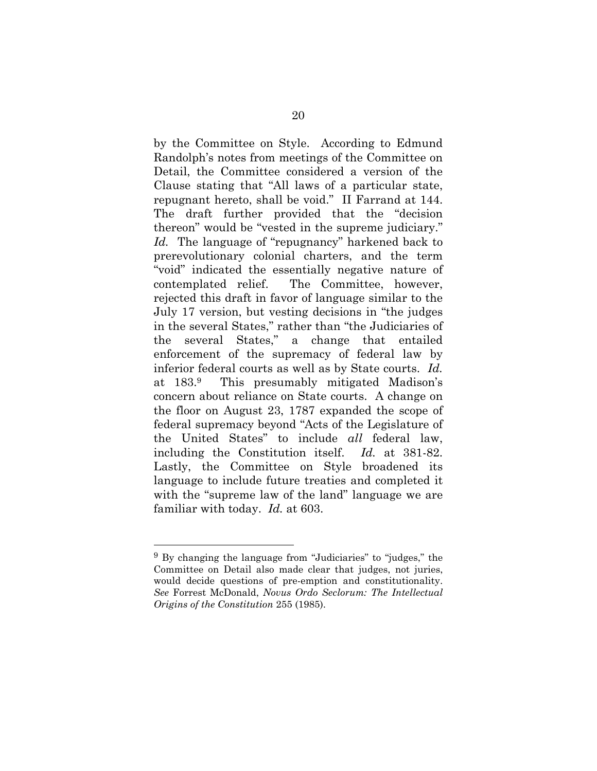by the Committee on Style. According to Edmund Randolph's notes from meetings of the Committee on Detail, the Committee considered a version of the Clause stating that "All laws of a particular state, repugnant hereto, shall be void." II Farrand at 144. The draft further provided that the "decision thereon" would be "vested in the supreme judiciary." *Id.* The language of "repugnancy" harkened back to prerevolutionary colonial charters, and the term "void" indicated the essentially negative nature of contemplated relief. The Committee, however, rejected this draft in favor of language similar to the July 17 version, but vesting decisions in "the judges in the several States," rather than "the Judiciaries of the several States," a change that entailed enforcement of the supremacy of federal law by inferior federal courts as well as by State courts. *Id.* at 183.9 This presumably mitigated Madison's concern about reliance on State courts. A change on the floor on August 23, 1787 expanded the scope of federal supremacy beyond "Acts of the Legislature of the United States" to include *all* federal law, including the Constitution itself. *Id.* at 381-82. Lastly, the Committee on Style broadened its language to include future treaties and completed it with the "supreme law of the land" language we are familiar with today. *Id.* at 603.

<sup>9</sup> By changing the language from "Judiciaries" to "judges," the Committee on Detail also made clear that judges, not juries, would decide questions of pre-emption and constitutionality. *See* Forrest McDonald, *Novus Ordo Seclorum: The Intellectual Origins of the Constitution* 255 (1985).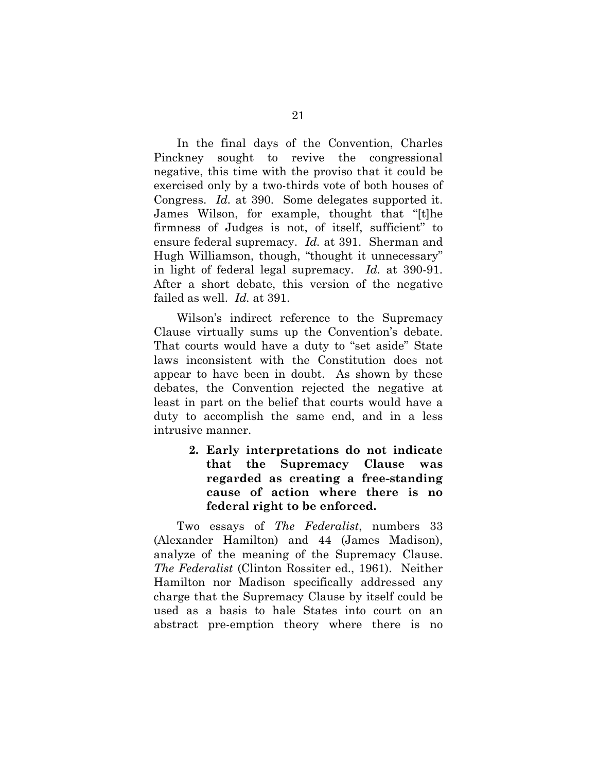In the final days of the Convention, Charles Pinckney sought to revive the congressional negative, this time with the proviso that it could be exercised only by a two-thirds vote of both houses of Congress. *Id.* at 390. Some delegates supported it. James Wilson, for example, thought that "[t]he firmness of Judges is not, of itself, sufficient" to ensure federal supremacy. *Id.* at 391. Sherman and Hugh Williamson, though, "thought it unnecessary" in light of federal legal supremacy. *Id.* at 390-91. After a short debate, this version of the negative failed as well. *Id.* at 391.

Wilson's indirect reference to the Supremacy Clause virtually sums up the Convention's debate. That courts would have a duty to "set aside" State laws inconsistent with the Constitution does not appear to have been in doubt. As shown by these debates, the Convention rejected the negative at least in part on the belief that courts would have a duty to accomplish the same end, and in a less intrusive manner.

> **2. Early interpretations do not indicate that the Supremacy Clause was regarded as creating a free-standing cause of action where there is no federal right to be enforced.**

Two essays of *The Federalist*, numbers 33 (Alexander Hamilton) and 44 (James Madison), analyze of the meaning of the Supremacy Clause. *The Federalist* (Clinton Rossiter ed., 1961). Neither Hamilton nor Madison specifically addressed any charge that the Supremacy Clause by itself could be used as a basis to hale States into court on an abstract pre-emption theory where there is no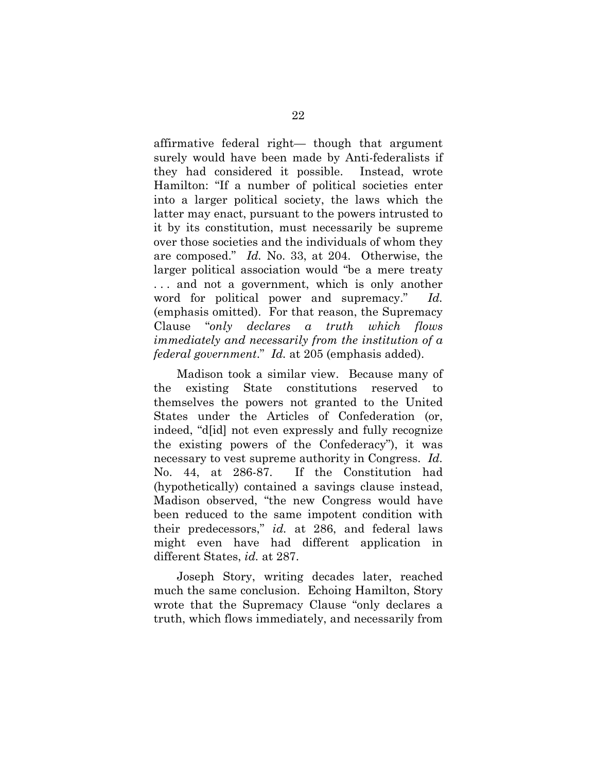affirmative federal right— though that argument surely would have been made by Anti-federalists if they had considered it possible. Instead, wrote Hamilton: "If a number of political societies enter into a larger political society, the laws which the latter may enact, pursuant to the powers intrusted to it by its constitution, must necessarily be supreme over those societies and the individuals of whom they are composed." *Id.* No. 33, at 204. Otherwise, the larger political association would "be a mere treaty . . . and not a government, which is only another word for political power and supremacy." *Id.* (emphasis omitted). For that reason, the Supremacy Clause "*only declares a truth which flows immediately and necessarily from the institution of a federal government*." *Id.* at 205 (emphasis added).

Madison took a similar view. Because many of the existing State constitutions reserved to themselves the powers not granted to the United States under the Articles of Confederation (or, indeed, "d[id] not even expressly and fully recognize the existing powers of the Confederacy"), it was necessary to vest supreme authority in Congress. *Id.* No. 44, at 286-87. If the Constitution had (hypothetically) contained a savings clause instead, Madison observed, "the new Congress would have been reduced to the same impotent condition with their predecessors," *id.* at 286, and federal laws might even have had different application in different States, *id.* at 287.

Joseph Story, writing decades later, reached much the same conclusion. Echoing Hamilton, Story wrote that the Supremacy Clause "only declares a truth, which flows immediately, and necessarily from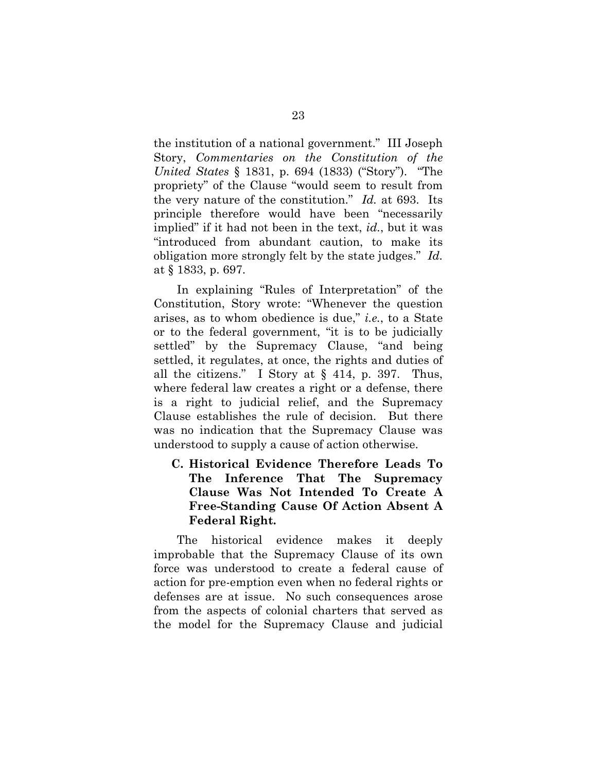the institution of a national government." III Joseph Story, *Commentaries on the Constitution of the United States* § 1831, p. 694 (1833) ("Story"). "The propriety" of the Clause "would seem to result from the very nature of the constitution." *Id.* at 693. Its principle therefore would have been "necessarily implied" if it had not been in the text, *id.*, but it was "introduced from abundant caution, to make its obligation more strongly felt by the state judges." *Id.* at § 1833, p. 697.

In explaining "Rules of Interpretation" of the Constitution, Story wrote: "Whenever the question arises, as to whom obedience is due," *i.e.*, to a State or to the federal government, "it is to be judicially settled" by the Supremacy Clause, "and being settled, it regulates, at once, the rights and duties of all the citizens." I Story at § 414, p. 397. Thus, where federal law creates a right or a defense, there is a right to judicial relief, and the Supremacy Clause establishes the rule of decision. But there was no indication that the Supremacy Clause was understood to supply a cause of action otherwise.

**C. Historical Evidence Therefore Leads To The Inference That The Supremacy Clause Was Not Intended To Create A Free-Standing Cause Of Action Absent A Federal Right.** 

The historical evidence makes it deeply improbable that the Supremacy Clause of its own force was understood to create a federal cause of action for pre-emption even when no federal rights or defenses are at issue. No such consequences arose from the aspects of colonial charters that served as the model for the Supremacy Clause and judicial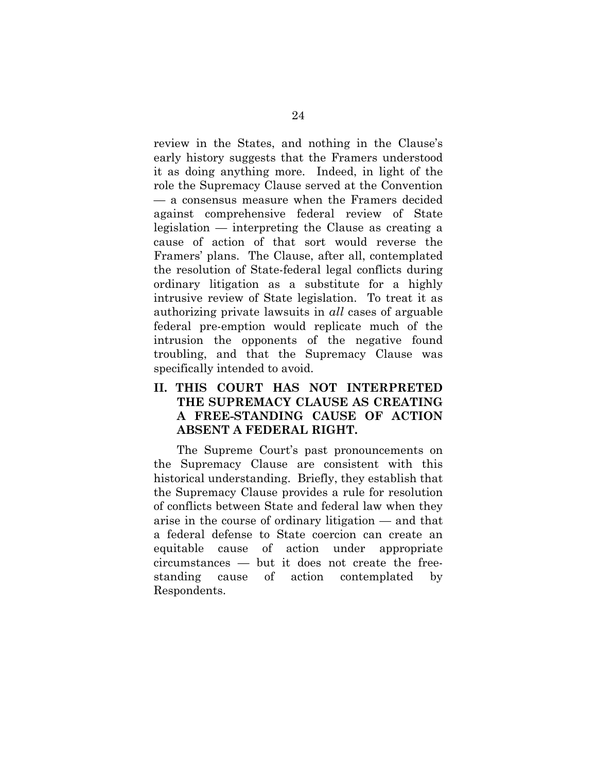review in the States, and nothing in the Clause's early history suggests that the Framers understood it as doing anything more. Indeed, in light of the role the Supremacy Clause served at the Convention — a consensus measure when the Framers decided against comprehensive federal review of State legislation — interpreting the Clause as creating a cause of action of that sort would reverse the Framers' plans. The Clause, after all, contemplated the resolution of State-federal legal conflicts during ordinary litigation as a substitute for a highly intrusive review of State legislation. To treat it as authorizing private lawsuits in *all* cases of arguable federal pre-emption would replicate much of the intrusion the opponents of the negative found troubling, and that the Supremacy Clause was specifically intended to avoid.

## **II. THIS COURT HAS NOT INTERPRETED THE SUPREMACY CLAUSE AS CREATING A FREE-STANDING CAUSE OF ACTION ABSENT A FEDERAL RIGHT.**

The Supreme Court's past pronouncements on the Supremacy Clause are consistent with this historical understanding. Briefly, they establish that the Supremacy Clause provides a rule for resolution of conflicts between State and federal law when they arise in the course of ordinary litigation — and that a federal defense to State coercion can create an equitable cause of action under appropriate circumstances — but it does not create the freestanding cause of action contemplated by Respondents.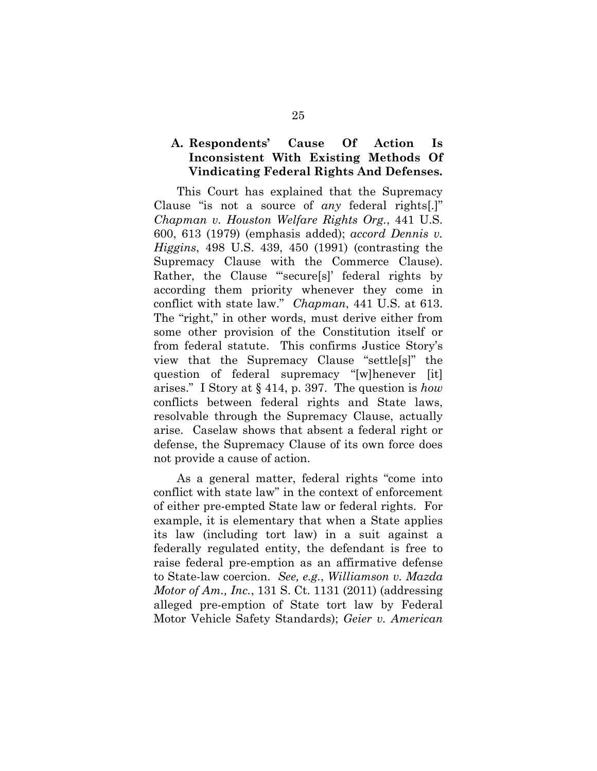### **A. Respondents' Cause Of Action Is Inconsistent With Existing Methods Of Vindicating Federal Rights And Defenses.**

This Court has explained that the Supremacy Clause "is not a source of *any* federal rights[.]" *Chapman v. Houston Welfare Rights Org.*, 441 U.S. 600, 613 (1979) (emphasis added); *accord Dennis v. Higgins*, 498 U.S. 439, 450 (1991) (contrasting the Supremacy Clause with the Commerce Clause). Rather, the Clause "secure[s]' federal rights by according them priority whenever they come in conflict with state law." *Chapman*, 441 U.S. at 613. The "right," in other words, must derive either from some other provision of the Constitution itself or from federal statute. This confirms Justice Story's view that the Supremacy Clause "settle[s]" the question of federal supremacy "[w]henever [it] arises." I Story at § 414, p. 397. The question is *how* conflicts between federal rights and State laws, resolvable through the Supremacy Clause, actually arise. Caselaw shows that absent a federal right or defense, the Supremacy Clause of its own force does not provide a cause of action.

As a general matter, federal rights "come into conflict with state law" in the context of enforcement of either pre-empted State law or federal rights. For example, it is elementary that when a State applies its law (including tort law) in a suit against a federally regulated entity, the defendant is free to raise federal pre-emption as an affirmative defense to State-law coercion. *See, e.g.*, *Williamson v. Mazda Motor of Am., Inc.*, 131 S. Ct. 1131 (2011) (addressing alleged pre-emption of State tort law by Federal Motor Vehicle Safety Standards); *Geier v. American*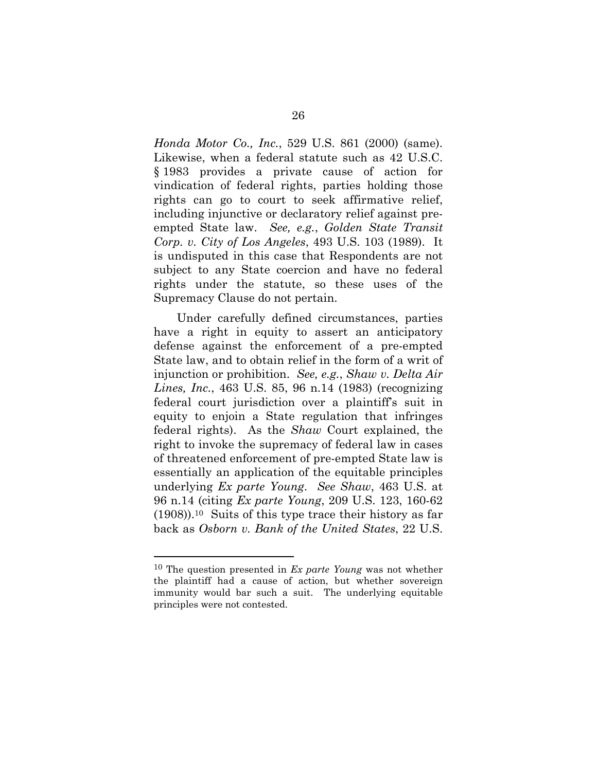*Honda Motor Co., Inc.*, 529 U.S. 861 (2000) (same). Likewise, when a federal statute such as 42 U.S.C. § 1983 provides a private cause of action for vindication of federal rights, parties holding those rights can go to court to seek affirmative relief, including injunctive or declaratory relief against preempted State law. *See, e.g.*, *Golden State Transit Corp. v. City of Los Angeles*, 493 U.S. 103 (1989). It is undisputed in this case that Respondents are not subject to any State coercion and have no federal rights under the statute, so these uses of the Supremacy Clause do not pertain.

Under carefully defined circumstances, parties have a right in equity to assert an anticipatory defense against the enforcement of a pre-empted State law, and to obtain relief in the form of a writ of injunction or prohibition. *See, e.g.*, *Shaw v. Delta Air Lines, Inc.*, 463 U.S. 85, 96 n.14 (1983) (recognizing federal court jurisdiction over a plaintiff's suit in equity to enjoin a State regulation that infringes federal rights).As the *Shaw* Court explained, the right to invoke the supremacy of federal law in cases of threatened enforcement of pre-empted State law is essentially an application of the equitable principles underlying *Ex parte Young*. *See Shaw*, 463 U.S. at 96 n.14 (citing *Ex parte Young*, 209 U.S. 123, 160-62 (1908)).10 Suits of this type trace their history as far back as *Osborn v. Bank of the United States*, 22 U.S.

<sup>10</sup> The question presented in *Ex parte Young* was not whether the plaintiff had a cause of action, but whether sovereign immunity would bar such a suit. The underlying equitable principles were not contested.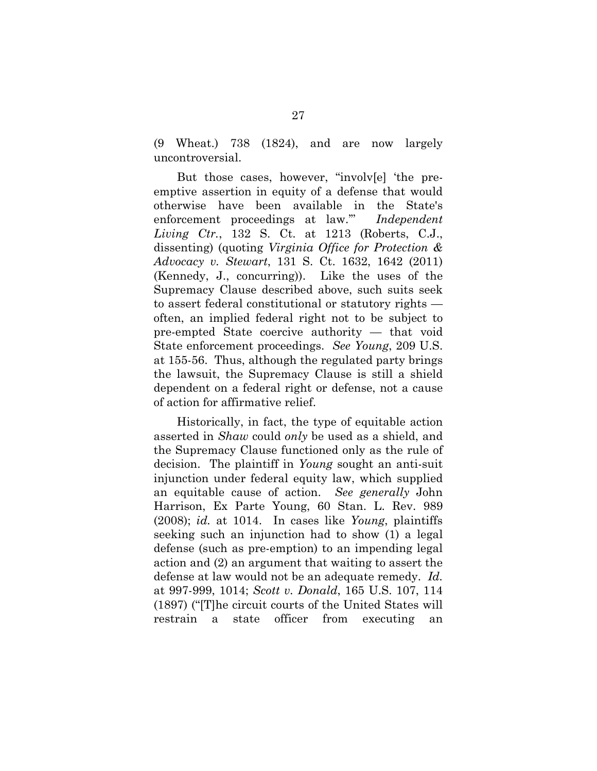(9 Wheat.) 738 (1824), and are now largely uncontroversial.

But those cases, however, "involv[e] 'the preemptive assertion in equity of a defense that would otherwise have been available in the State's enforcement proceedings at law.'" *Independent Living Ctr.*, 132 S. Ct. at 1213 (Roberts, C.J., dissenting) (quoting *Virginia Office for Protection & Advocacy v. Stewart*, 131 S. Ct. 1632, 1642 (2011) (Kennedy, J., concurring)). Like the uses of the Supremacy Clause described above, such suits seek to assert federal constitutional or statutory rights often, an implied federal right not to be subject to pre-empted State coercive authority — that void State enforcement proceedings. *See Young*, 209 U.S. at 155-56. Thus, although the regulated party brings the lawsuit, the Supremacy Clause is still a shield dependent on a federal right or defense, not a cause of action for affirmative relief.

Historically, in fact, the type of equitable action asserted in *Shaw* could *only* be used as a shield, and the Supremacy Clause functioned only as the rule of decision. The plaintiff in *Young* sought an anti-suit injunction under federal equity law, which supplied an equitable cause of action. *See generally* John Harrison, Ex Parte Young, 60 Stan. L. Rev. 989 (2008); *id.* at 1014. In cases like *Young*, plaintiffs seeking such an injunction had to show (1) a legal defense (such as pre-emption) to an impending legal action and (2) an argument that waiting to assert the defense at law would not be an adequate remedy. *Id.* at 997-999, 1014; *Scott v. Donald*, 165 U.S. 107, 114 (1897) ("[T]he circuit courts of the United States will restrain a state officer from executing an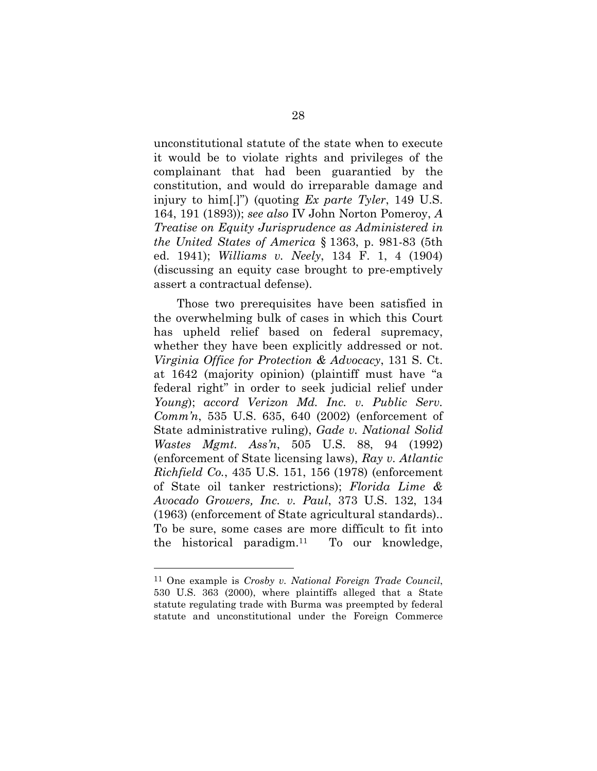unconstitutional statute of the state when to execute it would be to violate rights and privileges of the complainant that had been guarantied by the constitution, and would do irreparable damage and injury to him[.]") (quoting *Ex parte Tyler*, 149 U.S. 164, 191 (1893)); *see also* IV John Norton Pomeroy, *A Treatise on Equity Jurisprudence as Administered in the United States of America* § 1363, p. 981-83 (5th ed. 1941); *Williams v. Neely*, 134 F. 1, 4 (1904) (discussing an equity case brought to pre-emptively assert a contractual defense).

Those two prerequisites have been satisfied in the overwhelming bulk of cases in which this Court has upheld relief based on federal supremacy, whether they have been explicitly addressed or not. *Virginia Office for Protection & Advocacy*, 131 S. Ct. at 1642 (majority opinion) (plaintiff must have "a federal right" in order to seek judicial relief under *Young*); *accord Verizon Md. Inc. v. Public Serv. Comm'n*, 535 U.S. 635, 640 (2002) (enforcement of State administrative ruling), *Gade v. National Solid Wastes Mgmt. Ass'n*, 505 U.S. 88, 94 (1992) (enforcement of State licensing laws), *Ray v. Atlantic Richfield Co.*, 435 U.S. 151, 156 (1978) (enforcement of State oil tanker restrictions); *Florida Lime & Avocado Growers, Inc. v. Paul*, 373 U.S. 132, 134 (1963) (enforcement of State agricultural standards).. To be sure, some cases are more difficult to fit into the historical paradigm.11 To our knowledge,

<sup>11</sup> One example is *Crosby v. National Foreign Trade Council*, 530 U.S. 363 (2000), where plaintiffs alleged that a State statute regulating trade with Burma was preempted by federal statute and unconstitutional under the Foreign Commerce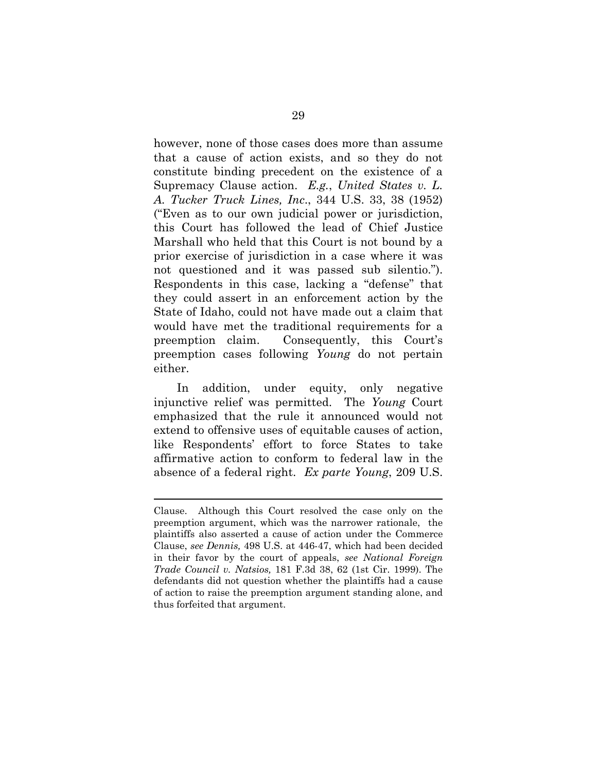however, none of those cases does more than assume that a cause of action exists, and so they do not constitute binding precedent on the existence of a Supremacy Clause action. *E.g.*, *United States v. L. A. Tucker Truck Lines, Inc*., 344 U.S. 33, 38 (1952) ("Even as to our own judicial power or jurisdiction, this Court has followed the lead of Chief Justice Marshall who held that this Court is not bound by a prior exercise of jurisdiction in a case where it was not questioned and it was passed sub silentio."). Respondents in this case, lacking a "defense" that they could assert in an enforcement action by the State of Idaho, could not have made out a claim that would have met the traditional requirements for a preemption claim. Consequently, this Court's preemption cases following *Young* do not pertain either.

In addition, under equity, only negative injunctive relief was permitted. The *Young* Court emphasized that the rule it announced would not extend to offensive uses of equitable causes of action, like Respondents' effort to force States to take affirmative action to conform to federal law in the absence of a federal right. *Ex parte Young*, 209 U.S.

Clause. Although this Court resolved the case only on the preemption argument, which was the narrower rationale, the plaintiffs also asserted a cause of action under the Commerce Clause, *see Dennis,* 498 U.S. at 446-47, which had been decided in their favor by the court of appeals, *see National Foreign Trade Council v. Natsios,* 181 F.3d 38, 62 (1st Cir. 1999). The defendants did not question whether the plaintiffs had a cause of action to raise the preemption argument standing alone, and thus forfeited that argument.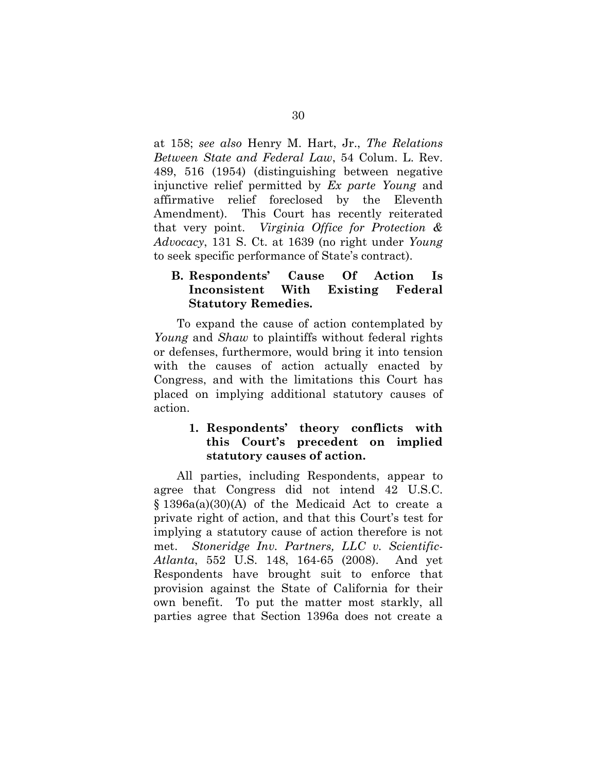at 158; *see also* Henry M. Hart, Jr., *The Relations Between State and Federal Law*, 54 Colum. L. Rev. 489, 516 (1954) (distinguishing between negative injunctive relief permitted by *Ex parte Young* and affirmative relief foreclosed by the Eleventh Amendment). This Court has recently reiterated that very point. *Virginia Office for Protection & Advocacy*, 131 S. Ct. at 1639 (no right under *Young* to seek specific performance of State's contract).

## **B. Respondents' Cause Of Action Is Inconsistent With Existing Federal Statutory Remedies.**

To expand the cause of action contemplated by *Young* and *Shaw* to plaintiffs without federal rights or defenses, furthermore, would bring it into tension with the causes of action actually enacted by Congress, and with the limitations this Court has placed on implying additional statutory causes of action.

## **1. Respondents' theory conflicts with this Court's precedent on implied statutory causes of action.**

All parties, including Respondents, appear to agree that Congress did not intend 42 U.S.C. § 1396a(a)(30)(A) of the Medicaid Act to create a private right of action, and that this Court's test for implying a statutory cause of action therefore is not met. *Stoneridge Inv. Partners, LLC v. Scientific-Atlanta*, 552 U.S. 148, 164-65 (2008). And yet Respondents have brought suit to enforce that provision against the State of California for their own benefit. To put the matter most starkly, all parties agree that Section 1396a does not create a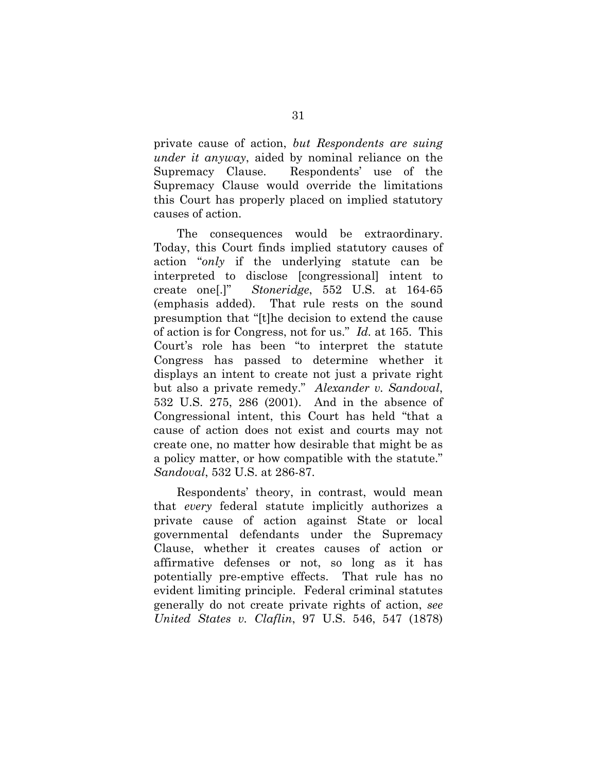private cause of action, *but Respondents are suing under it anyway*, aided by nominal reliance on the Supremacy Clause. Respondents' use of the Supremacy Clause would override the limitations this Court has properly placed on implied statutory causes of action.

The consequences would be extraordinary. Today, this Court finds implied statutory causes of action "*only* if the underlying statute can be interpreted to disclose [congressional] intent to create one[.]" *Stoneridge*, 552 U.S. at 164-65 (emphasis added). That rule rests on the sound presumption that "[t]he decision to extend the cause of action is for Congress, not for us." *Id.* at 165. This Court's role has been "to interpret the statute Congress has passed to determine whether it displays an intent to create not just a private right but also a private remedy." *Alexander v. Sandoval*, 532 U.S. 275, 286 (2001). And in the absence of Congressional intent, this Court has held "that a cause of action does not exist and courts may not create one, no matter how desirable that might be as a policy matter, or how compatible with the statute." *Sandoval*, 532 U.S. at 286-87.

Respondents' theory, in contrast, would mean that *every* federal statute implicitly authorizes a private cause of action against State or local governmental defendants under the Supremacy Clause, whether it creates causes of action or affirmative defenses or not, so long as it has potentially pre-emptive effects. That rule has no evident limiting principle. Federal criminal statutes generally do not create private rights of action, *see United States v. Claflin*, 97 U.S. 546, 547 (1878)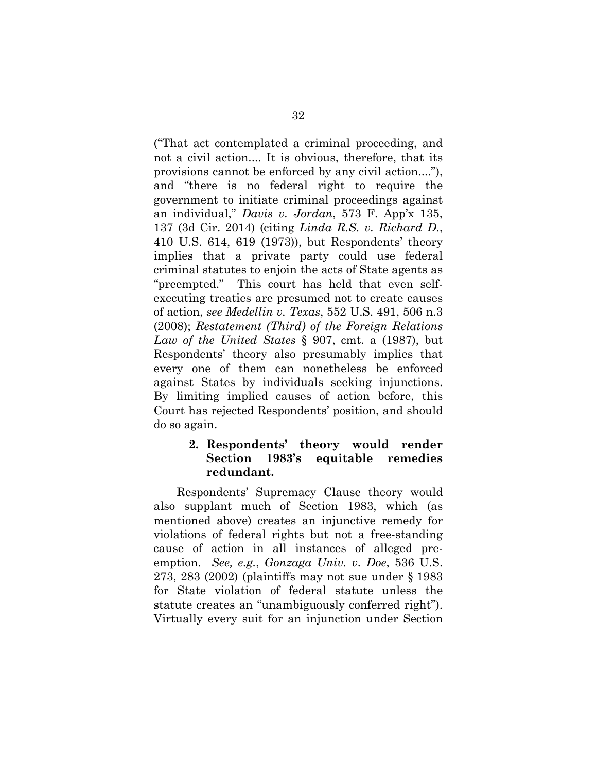("That act contemplated a criminal proceeding, and not a civil action.... It is obvious, therefore, that its provisions cannot be enforced by any civil action...."), and "there is no federal right to require the government to initiate criminal proceedings against an individual," *Davis v. Jordan*, 573 F. App'x 135, 137 (3d Cir. 2014) (citing *Linda R.S. v. Richard D*., 410 U.S. 614, 619 (1973)), but Respondents' theory implies that a private party could use federal criminal statutes to enjoin the acts of State agents as "preempted." This court has held that even selfexecuting treaties are presumed not to create causes of action, *see Medellin v. Texas*, 552 U.S. 491, 506 n.3 (2008); *Restatement (Third) of the Foreign Relations Law of the United States* § 907, cmt. a (1987), but Respondents' theory also presumably implies that every one of them can nonetheless be enforced against States by individuals seeking injunctions. By limiting implied causes of action before, this Court has rejected Respondents' position, and should do so again.

### **2. Respondents' theory would render Section 1983's equitable remedies redundant.**

Respondents' Supremacy Clause theory would also supplant much of Section 1983, which (as mentioned above) creates an injunctive remedy for violations of federal rights but not a free-standing cause of action in all instances of alleged preemption. *See, e.g.*, *Gonzaga Univ. v. Doe*, 536 U.S. 273, 283 (2002) (plaintiffs may not sue under § 1983 for State violation of federal statute unless the statute creates an "unambiguously conferred right"). Virtually every suit for an injunction under Section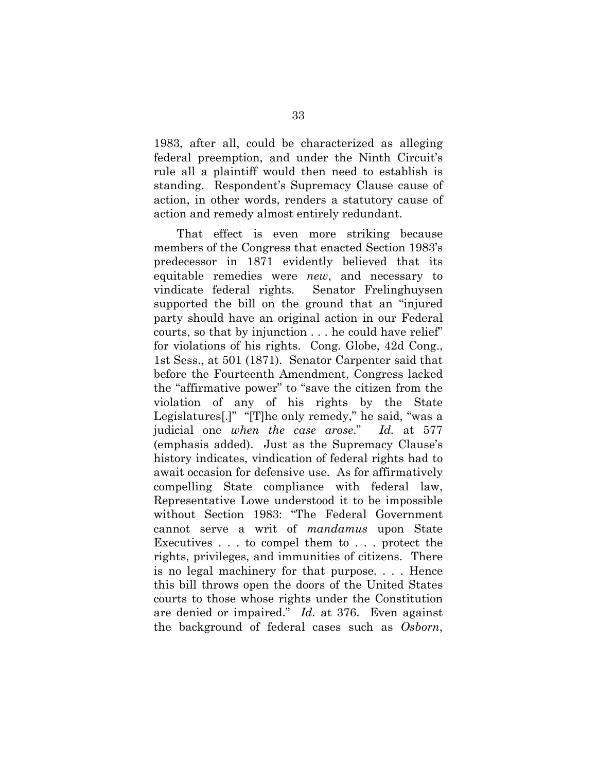1983, after all, could be characterized as alleging federal preemption, and under the Ninth Circuit's rule all a plaintiff would then need to establish is standing. Respondent's Supremacy Clause cause of action, in other words, renders a statutory cause of action and remedy almost entirely redundant.

That effect is even more striking because members of the Congress that enacted Section 1983's predecessor in 1871 evidently believed that its equitable remedies were *new*, and necessary to vindicate federal rights. Senator Frelinghuysen supported the bill on the ground that an "injured party should have an original action in our Federal courts, so that by injunction . . . he could have relief" for violations of his rights. Cong. Globe, 42d Cong., 1st Sess., at 501 (1871). Senator Carpenter said that before the Fourteenth Amendment, Congress lacked the "affirmative power" to "save the citizen from the violation of any of his rights by the State Legislatures[.]" "[T]he only remedy," he said, "was a judicial one *when the case arose*." *Id.* at 577 (emphasis added). Just as the Supremacy Clause's history indicates, vindication of federal rights had to await occasion for defensive use. As for affirmatively compelling State compliance with federal law, Representative Lowe understood it to be impossible without Section 1983: "The Federal Government cannot serve a writ of *mandamus* upon State Executives . . . to compel them to . . . protect the rights, privileges, and immunities of citizens. There is no legal machinery for that purpose. . . . Hence this bill throws open the doors of the United States courts to those whose rights under the Constitution are denied or impaired." *Id.* at 376. Even against the background of federal cases such as *Osborn*,